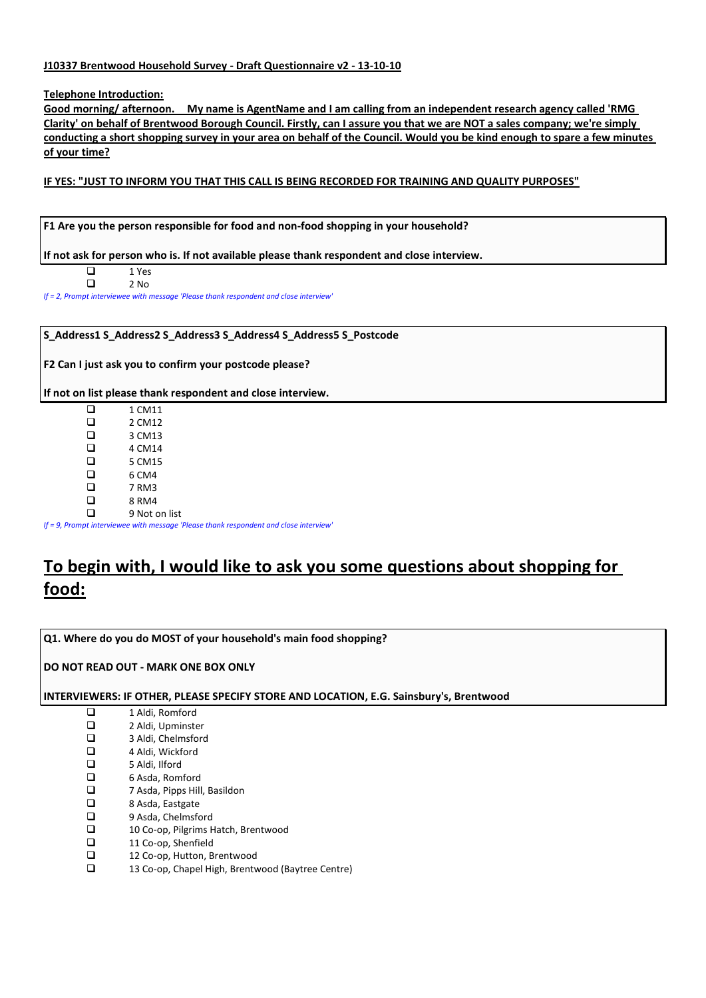# **J10337 Brentwood Household Survey - Draft Questionnaire v2 - 13-10-10**

**Telephone Introduction:**

**Good morning/ afternoon. My name is AgentName and I am calling from an independent research agency called 'RMG Clarity' on behalf of Brentwood Borough Council. Firstly, can I assure you that we are NOT a sales company; we're simply conducting a short shopping survey in your area on behalf of the Council. Would you be kind enough to spare a few minutes of your time?**

# **IF YES: "JUST TO INFORM YOU THAT THIS CALL IS BEING RECORDED FOR TRAINING AND QUALITY PURPOSES"**

**F1 Are you the person responsible for food and non-food shopping in your household?**

**If not ask for person who is. If not available please thank respondent and close interview.**

| l 1 | 1 Yes |
|-----|-------|
|     | 2 No  |

*If = 2, Prompt interviewee with message 'Please thank respondent and close interview'*

#### **S\_Address1 S\_Address2 S\_Address3 S\_Address4 S\_Address5 S\_Postcode**

**F2 Can I just ask you to confirm your postcode please?**

**If not on list please thank respondent and close interview.**

| ப | 1 CM11        |
|---|---------------|
| ⊔ | 2 CM12        |
| ◻ | 3 CM13        |
| ◻ | 4 CM14        |
| ◻ | 5 CM15        |
| ◻ | 6 CM4         |
| ◻ | 7 RM3         |
| □ | 8 RM4         |
|   | 9 Not on list |
|   |               |

*If = 9, Prompt interviewee with message 'Please thank respondent and close interview'*

# **To begin with, I would like to ask you some questions about shopping for food:**

**Q1. Where do you do MOST of your household's main food shopping?**

**DO NOT READ OUT - MARK ONE BOX ONLY**

## **INTERVIEWERS: IF OTHER, PLEASE SPECIFY STORE AND LOCATION, E.G. Sainsbury's, Brentwood**

- □ 1 Aldi, Romford<br>□ 2 Aldi, Upminste
- 2 Aldi, Upminster
- □ 3 Aldi, Chelmsford
- 4 Aldi, Wickford
- 5 Aldi, Ilford
- $\Box$  6 Asda, Romford<br> $\Box$  7 Asda, Pipps Hill
- $\square$  7 Asda, Pipps Hill, Basildon<br> $\square$  8 Asda, Eastgate
- $\Box$  8 Asda, Eastgate<br> $\Box$  9 Asda. Chelmsfo
- $\Box$  9 Asda, Chelmsford<br> $\Box$  10 Co-op. Pilgrims H □ 10 Co-op, Pilgrims Hatch, Brentwood<br>□ 11 Co-op, Shenfield
- □ 11 Co-op, Shenfield<br>□ 12 Co-op. Hutton. B
- 12 Co-op, Hutton, Brentwood
- 13 Co-op, Chapel High, Brentwood (Baytree Centre)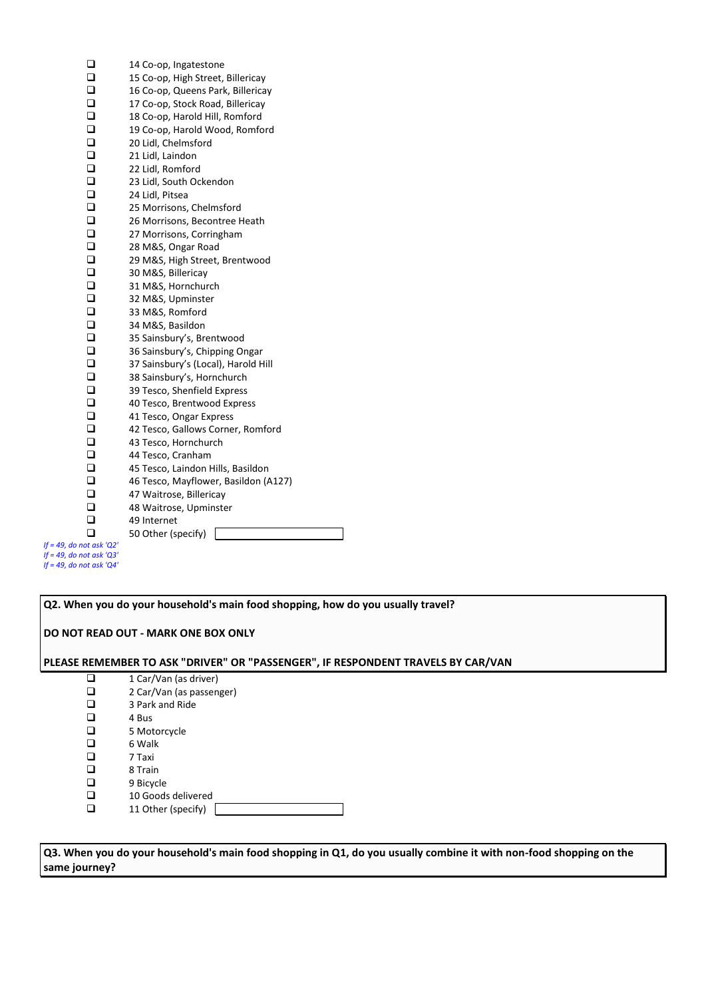| $\Box$       | 14 Co-op, Ingatestone                |
|--------------|--------------------------------------|
| ◻            | 15 Co-op, High Street, Billericay    |
| $\Box$       | 16 Co-op, Queens Park, Billericay    |
| $\Box$       | 17 Co-op, Stock Road, Billericay     |
| $\Box$       | 18 Co-op, Harold Hill, Romford       |
| $\Box$       | 19 Co-op, Harold Wood, Romford       |
| $\Box$       | 20 Lidl, Chelmsford                  |
| $\Box$       | 21 Lidl, Laindon                     |
| $\Box$       | 22 Lidl, Romford                     |
| $\Box$       | 23 Lidl, South Ockendon              |
| $\Box$       | 24 Lidl, Pitsea                      |
| $\Box$       | 25 Morrisons, Chelmsford             |
| $\Box$       | 26 Morrisons, Becontree Heath        |
| $\Box$       | 27 Morrisons, Corringham             |
| $\Box$       | 28 M&S, Ongar Road                   |
| $\Box$       | 29 M&S, High Street, Brentwood       |
| $\Box$       | 30 M&S, Billericay                   |
| $\Box$       | 31 M&S, Hornchurch                   |
| $\Box$       | 32 M&S, Upminster                    |
| $\Box$       | 33 M&S, Romford                      |
| $\Box$       | 34 M&S, Basildon                     |
| $\Box$       | 35 Sainsbury's, Brentwood            |
| $\Box$       | 36 Sainsbury's, Chipping Ongar       |
| $\Box$       | 37 Sainsbury's (Local), Harold Hill  |
| $\Box$       | 38 Sainsbury's, Hornchurch           |
| $\Box$       | 39 Tesco, Shenfield Express          |
| $\Box$       | 40 Tesco, Brentwood Express          |
| $\Box$       | 41 Tesco, Ongar Express              |
| $\Box$       | 42 Tesco, Gallows Corner, Romford    |
| $\Box$       | 43 Tesco, Hornchurch                 |
| $\Box$       | 44 Tesco, Cranham                    |
| $\Box$       | 45 Tesco, Laindon Hills, Basildon    |
| $\Box$       | 46 Tesco, Mayflower, Basildon (A127) |
| $\Box$       | 47 Waitrose, Billericay              |
| $\Box$       | 48 Waitrose, Upminster               |
| $\Box$       | 49 Internet                          |
| ◻            | 50 Other (specify)                   |
| not ask 'Q2' |                                      |

*If = 49, do not ask 'Q2' If = 49, do not ask 'Q3' If = 49, do not ask 'Q4'*

| Q2. When you do your household's main food shopping, how do you usually travel? |                                                                                  |  |  |
|---------------------------------------------------------------------------------|----------------------------------------------------------------------------------|--|--|
|                                                                                 | DO NOT READ OUT - MARK ONE BOX ONLY                                              |  |  |
|                                                                                 | PLEASE REMEMBER TO ASK "DRIVER" OR "PASSENGER", IF RESPONDENT TRAVELS BY CAR/VAN |  |  |
| □                                                                               | 1 Car/Van (as driver)                                                            |  |  |
| ❏                                                                               | 2 Car/Van (as passenger)                                                         |  |  |
| □                                                                               | 3 Park and Ride                                                                  |  |  |
| □                                                                               | 4 Bus                                                                            |  |  |
| $\Box$                                                                          | 5 Motorcycle                                                                     |  |  |
| □                                                                               | 6 Walk                                                                           |  |  |
| <b>□</b>                                                                        | 7 Taxi                                                                           |  |  |
| □                                                                               | 8 Train                                                                          |  |  |
| □                                                                               | 9 Bicycle                                                                        |  |  |
| □                                                                               | 10 Goods delivered                                                               |  |  |
| □                                                                               | 11 Other (specify)                                                               |  |  |
|                                                                                 |                                                                                  |  |  |

**Q3. When you do your household's main food shopping in Q1, do you usually combine it with non-food shopping on the same journey?**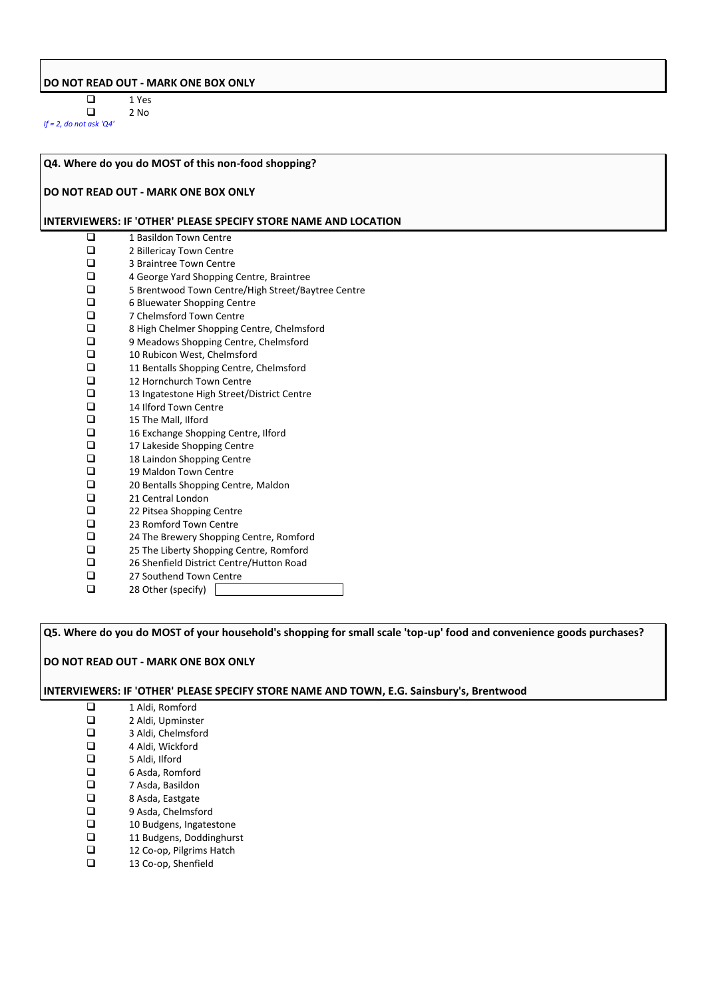# **DO NOT READ OUT - MARK ONE BOX ONLY**

 $\begin{array}{ccc}\n\Box & & 1 \text{ Yes} \\
\Box & & 2 \text{ No}\n\end{array}$ 2 No

*If = 2, do not ask 'Q4'*

# **Q4. Where do you do MOST of this non-food shopping?**

## **DO NOT READ OUT - MARK ONE BOX ONLY**

#### **INTERVIEWERS: IF 'OTHER' PLEASE SPECIFY STORE NAME AND LOCATION**

| $\Box$ | 1 Basildon Town Centre                             |
|--------|----------------------------------------------------|
| □      | 2 Billericay Town Centre                           |
| $\Box$ | 3 Braintree Town Centre                            |
| $\Box$ | 4 George Yard Shopping Centre, Braintree           |
| $\Box$ | 5 Brentwood Town Centre/High Street/Baytree Centre |
| $\Box$ | 6 Bluewater Shopping Centre                        |
| $\Box$ | 7 Chelmsford Town Centre                           |
| $\Box$ | 8 High Chelmer Shopping Centre, Chelmsford         |
| $\Box$ | 9 Meadows Shopping Centre, Chelmsford              |
| $\Box$ | 10 Rubicon West, Chelmsford                        |
| $\Box$ | 11 Bentalls Shopping Centre, Chelmsford            |
| $\Box$ | 12 Hornchurch Town Centre                          |
| $\Box$ | 13 Ingatestone High Street/District Centre         |
| $\Box$ | 14 Ilford Town Centre                              |
| $\Box$ | 15 The Mall, Ilford                                |
| $\Box$ | 16 Exchange Shopping Centre, Ilford                |
| $\Box$ | 17 Lakeside Shopping Centre                        |
| $\Box$ | 18 Laindon Shopping Centre                         |
| $\Box$ | 19 Maldon Town Centre                              |
| $\Box$ | 20 Bentalls Shopping Centre, Maldon                |
| $\Box$ | 21 Central London                                  |
| $\Box$ | 22 Pitsea Shopping Centre                          |
| $\Box$ | 23 Romford Town Centre                             |
| $\Box$ | 24 The Brewery Shopping Centre, Romford            |
| $\Box$ | 25 The Liberty Shopping Centre, Romford            |
| $\Box$ | 26 Shenfield District Centre/Hutton Road           |
| $\Box$ | 27 Southend Town Centre                            |
| □      | 28 Other (specify)                                 |

**Q5. Where do you do MOST of your household's shopping for small scale 'top-up' food and convenience goods purchases?**

#### **DO NOT READ OUT - MARK ONE BOX ONLY**

#### **INTERVIEWERS: IF 'OTHER' PLEASE SPECIFY STORE NAME AND TOWN, E.G. Sainsbury's, Brentwood**

- 1 Aldi, Romford<br>2 Aldi, Upminste □ 2 Aldi, Upminster<br>□ 3 Aldi. Chelmsford □ 3 Aldi, Chelmsford<br>□ 4 Aldi, Wickford  $\Box$  4 Aldi, Wickford<br> $\Box$  5 Aldi, Ilford  $\Box$  5 Aldi, Ilford<br> $\Box$  6 Asda, Rom  $\Box$  6 Asda, Romford<br> $\Box$  7 Asda, Basildon □ 7 Asda, Basildon<br>□ 8 Asda, Eastgate □ 8 Asda, Eastgate<br>□ 9 Asda, Chelmsfo  $\Box$  9 Asda, Chelmsford<br> $\Box$  10 Budgens, Ingates  $\Box$  10 Budgens, Ingatestone<br> $\Box$  11 Budgens, Doddinghurs 11 Budgens, Doddinghurst<br>
12 Co-op, Pilgrims Hatch  $\Box$  12 Co-op, Pilgrims Hatch<br> $\Box$  13 Co-op, Shenfield
- 13 Co-op, Shenfield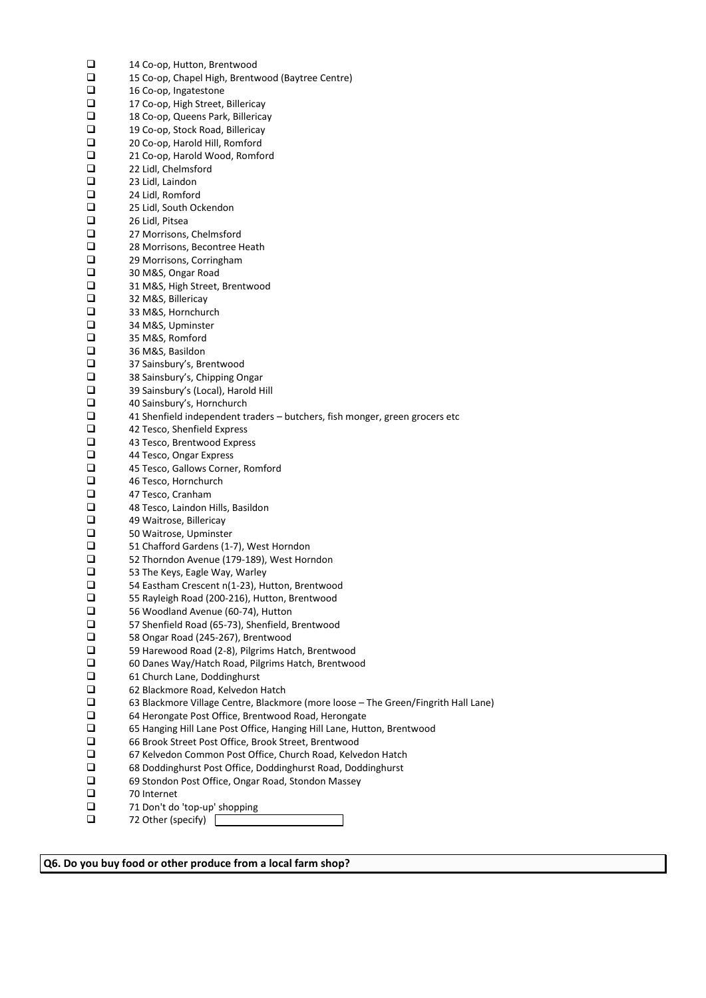| ❏      | 14 Co-op, Hutton, Brentwood                                                        |
|--------|------------------------------------------------------------------------------------|
| □      | 15 Co-op, Chapel High, Brentwood (Baytree Centre)                                  |
| $\Box$ |                                                                                    |
|        | 16 Co-op, Ingatestone                                                              |
| ❏      | 17 Co-op, High Street, Billericay                                                  |
| ❏      | 18 Co-op, Queens Park, Billericay                                                  |
| ❏      | 19 Co-op, Stock Road, Billericay                                                   |
| $\Box$ | 20 Co-op, Harold Hill, Romford                                                     |
| $\Box$ | 21 Co-op, Harold Wood, Romford                                                     |
| $\Box$ | 22 Lidl, Chelmsford                                                                |
| ❏      | 23 Lidl, Laindon                                                                   |
| ❏      | 24 Lidl, Romford                                                                   |
| ❏      | 25 Lidl, South Ockendon                                                            |
| $\Box$ |                                                                                    |
|        | 26 Lidl, Pitsea                                                                    |
| $\Box$ | 27 Morrisons, Chelmsford                                                           |
| $\Box$ | 28 Morrisons, Becontree Heath                                                      |
| ❏      | 29 Morrisons, Corringham                                                           |
| ❏      | 30 M&S, Ongar Road                                                                 |
| ❏      | 31 M&S, High Street, Brentwood                                                     |
| o      | 32 M&S, Billericay                                                                 |
| $\Box$ | 33 M&S, Hornchurch                                                                 |
| $\Box$ | 34 M&S, Upminster                                                                  |
| ❏      | 35 M&S, Romford                                                                    |
| ❏      |                                                                                    |
|        | 36 M&S, Basildon                                                                   |
| ❏      | 37 Sainsbury's, Brentwood                                                          |
| $\Box$ | 38 Sainsbury's, Chipping Ongar                                                     |
| $\Box$ | 39 Sainsbury's (Local), Harold Hill                                                |
| $\Box$ | 40 Sainsbury's, Hornchurch                                                         |
| ❏      | 41 Shenfield independent traders - butchers, fish monger, green grocers etc        |
| ❏      | 42 Tesco, Shenfield Express                                                        |
| ❏      | 43 Tesco, Brentwood Express                                                        |
| o      | 44 Tesco, Ongar Express                                                            |
| $\Box$ | 45 Tesco, Gallows Corner, Romford                                                  |
| ❏      |                                                                                    |
|        | 46 Tesco, Hornchurch                                                               |
| ❏      | 47 Tesco, Cranham                                                                  |
| ❏      | 48 Tesco, Laindon Hills, Basildon                                                  |
| ❏      | 49 Waitrose, Billericay                                                            |
| $\Box$ | 50 Waitrose, Upminster                                                             |
| $\Box$ | 51 Chafford Gardens (1-7), West Horndon                                            |
| ❏      | 52 Thorndon Avenue (179-189), West Horndon                                         |
| □      | 53 The Keys, Eagle Way, Warley                                                     |
| □      | 54 Eastham Crescent n(1-23), Hutton, Brentwood                                     |
| u      | 55 Rayleigh Road (200-216), Hutton, Brentwood                                      |
| ❏      | 56 Woodland Avenue (60-74), Hutton                                                 |
| $\Box$ |                                                                                    |
|        | 57 Shenfield Road (65-73), Shenfield, Brentwood                                    |
| $\Box$ | 58 Ongar Road (245-267), Brentwood                                                 |
| ❏      | 59 Harewood Road (2-8), Pilgrims Hatch, Brentwood                                  |
| ❏      | 60 Danes Way/Hatch Road, Pilgrims Hatch, Brentwood                                 |
| ❏      | 61 Church Lane, Doddinghurst                                                       |
| $\Box$ | 62 Blackmore Road, Kelvedon Hatch                                                  |
| $\Box$ | 63 Blackmore Village Centre, Blackmore (more loose - The Green/Fingrith Hall Lane) |
| □      | 64 Herongate Post Office, Brentwood Road, Herongate                                |
| ❏      | 65 Hanging Hill Lane Post Office, Hanging Hill Lane, Hutton, Brentwood             |
| ❏      | 66 Brook Street Post Office, Brook Street, Brentwood                               |
|        |                                                                                    |
| ❏      | 67 Kelvedon Common Post Office, Church Road, Kelvedon Hatch                        |
| $\Box$ | 68 Doddinghurst Post Office, Doddinghurst Road, Doddinghurst                       |
| $\Box$ | 69 Stondon Post Office, Ongar Road, Stondon Massey                                 |
| ❏      | 70 Internet                                                                        |
| ❏      | 71 Don't do 'top-up' shopping                                                      |
| ❏      | 72 Other (specify)                                                                 |
|        |                                                                                    |

**Q6. Do you buy food or other produce from a local farm shop?**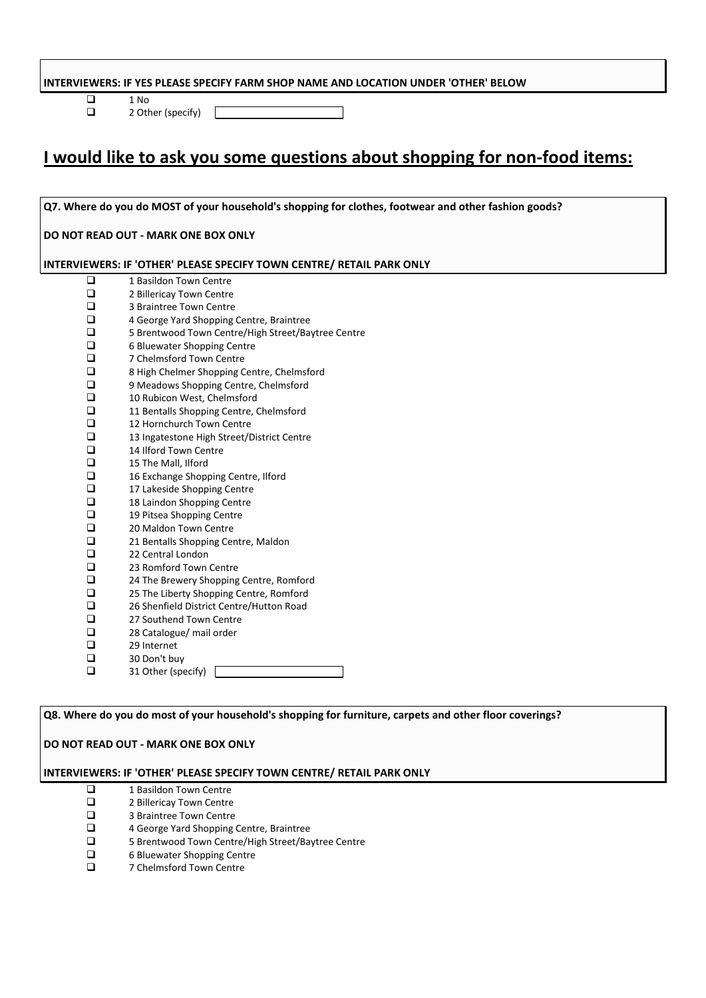## **INTERVIEWERS: IF YES PLEASE SPECIFY FARM SHOP NAME AND LOCATION UNDER 'OTHER' BELOW**

 $\begin{array}{ccc}\n\Box & & 1 \text{ No} \\
\Box & & 2 \text{ Oth} \\
\end{array}$ 

2 Other (specify)

# **I would like to ask you some questions about shopping for non-food items:**

**Q7. Where do you do MOST of your household's shopping for clothes, footwear and other fashion goods? DO NOT READ OUT - MARK ONE BOX ONLY INTERVIEWERS: IF 'OTHER' PLEASE SPECIFY TOWN CENTRE/ RETAIL PARK ONLY**  $\Box$  1 Basildon Town Centre<br> $\Box$  2 Billericav Town Centre  $\Box$  2 Billericay Town Centre<br> $\Box$  3 Braintree Town Centre  $\Box$  3 Braintree Town Centre<br> $\Box$  4 George Yard Shopping  $\Box$  4 George Yard Shopping Centre, Braintree<br> $\Box$  5 Brentwood Town Centre/High Street/Bay  $\square$  5 Brentwood Town Centre/High Street/Baytree Centre<br> $\square$  6 Bluewater Shooping Centre  $\Box$  6 Bluewater Shopping Centre<br> $\Box$  7 Chelmsford Town Centre  $\Box$  7 Chelmsford Town Centre<br> $\Box$  8 High Chelmer Shopping C  $\Box$  8 High Chelmer Shopping Centre, Chelmsford<br> $\Box$  9 Meadows Shopping Centre, Chelmsford  $\Box$  9 Meadows Shopping Centre, Chelmsford<br> $\Box$  10 Rubicon West. Chelmsford  $\Box$  10 Rubicon West, Chelmsford<br> $\Box$  11 Bentalls Shopping Centre, 0  $\Box$  11 Bentalls Shopping Centre, Chelmsford<br> $\Box$  12 Hornchurch Town Centre  $\Box$  12 Hornchurch Town Centre<br> $\Box$  13 Ingatestone High Street/E  $\Box$  13 Ingatestone High Street/District Centre<br> $\Box$  14 Ilford Town Centre  $\Box$  14 Ilford Town Centre<br> $\Box$  15 The Mall. Ilford  $\Box$  15 The Mall, Ilford<br> $\Box$  16 Exchange Shopp  $\Box$  16 Exchange Shopping Centre, Ilford<br> $\Box$  17 Lakeside Shopping Centre  $\Box$  17 Lakeside Shopping Centre<br> $\Box$  18 Laindon Shopping Centre 18 Laindon Shopping Centre 19 Pitsea Shopping Centre  $\Box$  20 Maldon Town Centre<br> $\Box$  21 Bentalls Shopping Cer  $\Box$  21 Bentalls Shopping Centre, Maldon<br> $\Box$  22 Central London  $\Box$  22 Central London<br> $\Box$  23 Romford Town  $\Box$  23 Romford Town Centre<br> $\Box$  24 The Brewery Shopping  $\Box$  24 The Brewery Shopping Centre, Romford<br> $\Box$  25 The Liberty Shopping Centre, Romford 25 The Liberty Shopping Centre, Romford  $\Box$  26 Shenfield District Centre/Hutton Road<br> $\Box$  27 Southend Town Centre  $\Box$  27 Southend Town Centre<br> $\Box$  28 Catalogue/ mail order  $\Box$  28 Catalogue/ mail order<br> $\Box$  29 Internet 29 Internet 30 Don't buy  $\Box$  31 Other (specify)

**Q8. Where do you do most of your household's shopping for furniture, carpets and other floor coverings? DO NOT READ OUT - MARK ONE BOX ONLY INTERVIEWERS: IF 'OTHER' PLEASE SPECIFY TOWN CENTRE/ RETAIL PARK ONLY**

- $\Box$  1 Basildon Town Centre<br> $\Box$  2 Billericav Town Centre
- $\Box$  2 Billericay Town Centre<br> $\Box$  3 Braintree Town Centre
- $\Box$  3 Braintree Town Centre<br> $\Box$  4 George Yard Shopping
- 4 George Yard Shopping Centre, Braintree
- 5 Brentwood Town Centre/High Street/Baytree Centre
- $\Box$  6 Bluewater Shopping Centre
- 7 Chelmsford Town Centre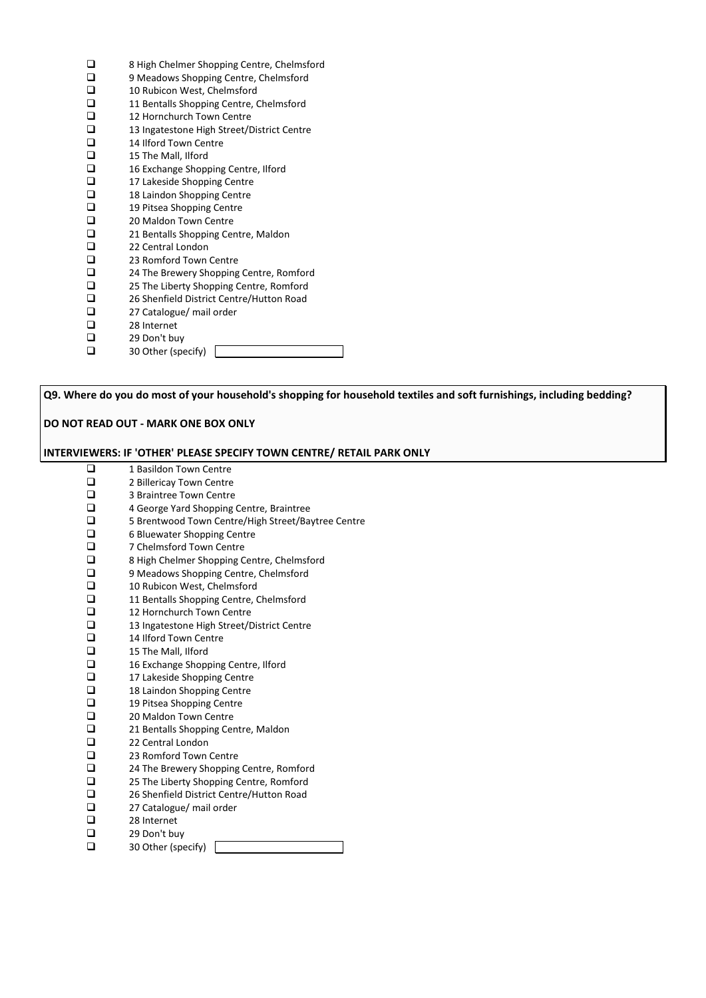| □      | 8 High Chelmer Shopping Centre, Chelmsford |
|--------|--------------------------------------------|
| $\Box$ | 9 Meadows Shopping Centre, Chelmsford      |
| $\Box$ | 10 Rubicon West, Chelmsford                |
| $\Box$ | 11 Bentalls Shopping Centre, Chelmsford    |
| $\Box$ | 12 Hornchurch Town Centre                  |
| $\Box$ | 13 Ingatestone High Street/District Centre |
| $\Box$ | 14 Ilford Town Centre                      |
| $\Box$ | 15 The Mall, Ilford                        |
| $\Box$ | 16 Exchange Shopping Centre, Ilford        |
| $\Box$ | 17 Lakeside Shopping Centre                |
| $\Box$ | 18 Laindon Shopping Centre                 |
| $\Box$ | 19 Pitsea Shopping Centre                  |
| $\Box$ | 20 Maldon Town Centre                      |
| $\Box$ | 21 Bentalls Shopping Centre, Maldon        |
| $\Box$ | 22 Central London                          |
| $\Box$ | 23 Romford Town Centre                     |
| $\Box$ | 24 The Brewery Shopping Centre, Romford    |
| $\Box$ | 25 The Liberty Shopping Centre, Romford    |
| $\Box$ | 26 Shenfield District Centre/Hutton Road   |
| $\Box$ | 27 Catalogue/ mail order                   |
| $\Box$ | 28 Internet                                |
| $\Box$ | 29 Don't buy                               |
| $\Box$ | 30 Other (specify)                         |

**Q9. Where do you do most of your household's shopping for household textiles and soft furnishings, including bedding? DO NOT READ OUT - MARK ONE BOX ONLY INTERVIEWERS: IF 'OTHER' PLEASE SPECIFY TOWN CENTRE/ RETAIL PARK ONLY** 1 Basildon Town Centre □ 2 Billericay Town Centre<br>□ 3 Braintree Town Centre 3 Braintree Town Centre  $\Box$  4 George Yard Shopping Centre, Braintree<br>
5 Brentwood Town Centre/High Street/Bay  $\square$  5 Brentwood Town Centre/High Street/Baytree Centre<br> $\square$  6 Bluewater Shopping Centre □ 6 Bluewater Shopping Centre<br>□ 7 Chelmsford Town Centre  $\Box$  7 Chelmsford Town Centre<br> $\Box$  8 High Chelmer Shopping C  $\Box$  8 High Chelmer Shopping Centre, Chelmsford<br> $\Box$  9 Meadows Shopping Centre. Chelmsford  $\Box$  9 Meadows Shopping Centre, Chelmsford<br> $\Box$  10 Rubicon West. Chelmsford  $\Box$  10 Rubicon West, Chelmsford<br> $\Box$  11 Bentalls Shopping Centre, 0 11 Bentalls Shopping Centre, Chelmsford<br>
12 Hornchurch Town Centre 12 Hornchurch Town Centre  $\Box$  13 Ingatestone High Street/District Centre<br> $\Box$  14 Ilford Town Centre  $\Box$  14 Ilford Town Centre<br> $\Box$  15 The Mall, Ilford  $\Box$  15 The Mall, Ilford<br> $\Box$  16 Exchange Shopp  $\Box$  16 Exchange Shopping Centre, Ilford<br> $\Box$  17 Lakeside Shopping Centre 17 Lakeside Shopping Centre<br>
18 Laindon Shopping Centre □ 18 Laindon Shopping Centre<br>□ 19 Pitsea Shopping Centre □ 19 Pitsea Shopping Centre<br>□ 20 Maldon Town Centre  $\Box$  20 Maldon Town Centre<br> $\Box$  21 Bentalls Shopping Cer □ 21 Bentalls Shopping Centre, Maldon<br>□ 22 Central London  $\Box$  22 Central London<br> $\Box$  23 Romford Town 23 Romford Town Centre □ 24 The Brewery Shopping Centre, Romford □ 25 The Liberty Shopping Centre, Romford  $\Box$  26 Shenfield District Centre/Hutton Road<br> $\Box$  27 Catalogue/ mail order  $\Box$  27 Catalogue/ mail order<br> $\Box$  28 Internet  $\Box$  28 Internet<br> $\Box$  29 Don't bu  $\Box$  29 Don't buy<br> $\Box$  30 Other (spe 30 Other (specify)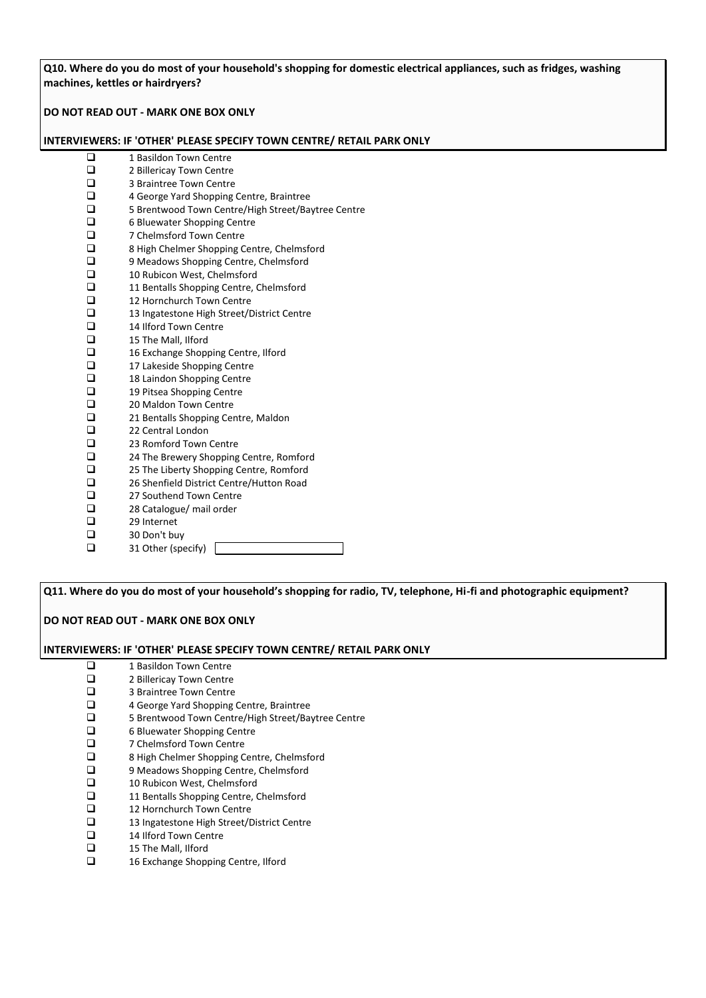**Q10. Where do you do most of your household's shopping for domestic electrical appliances, such as fridges, washing machines, kettles or hairdryers?**

**DO NOT READ OUT - MARK ONE BOX ONLY**

#### **INTERVIEWERS: IF 'OTHER' PLEASE SPECIFY TOWN CENTRE/ RETAIL PARK ONLY**

| $\overline{\square}$ | 1 Basildon Town Centre                             |
|----------------------|----------------------------------------------------|
| $\Box$               | 2 Billericay Town Centre                           |
| $\Box$               | 3 Braintree Town Centre                            |
| $\Box$               | 4 George Yard Shopping Centre, Braintree           |
| $\Box$               | 5 Brentwood Town Centre/High Street/Baytree Centre |
| $\Box$               | 6 Bluewater Shopping Centre                        |
| $\Box$               | 7 Chelmsford Town Centre                           |
| $\Box$               | 8 High Chelmer Shopping Centre, Chelmsford         |
| $\Box$               | 9 Meadows Shopping Centre, Chelmsford              |
| $\Box$               | 10 Rubicon West, Chelmsford                        |
| $\Box$               | 11 Bentalls Shopping Centre, Chelmsford            |
| $\Box$               | 12 Hornchurch Town Centre                          |
| $\Box$               | 13 Ingatestone High Street/District Centre         |
| $\Box$               | 14 Ilford Town Centre                              |
| $\Box$               | 15 The Mall, Ilford                                |
| $\Box$               | 16 Exchange Shopping Centre, Ilford                |
| $\Box$               | 17 Lakeside Shopping Centre                        |
| $\Box$               | 18 Laindon Shopping Centre                         |
| $\Box$               | 19 Pitsea Shopping Centre                          |
| $\Box$               | 20 Maldon Town Centre                              |
| $\Box$               | 21 Bentalls Shopping Centre, Maldon                |
| $\Box$               | 22 Central London                                  |
| $\Box$               | 23 Romford Town Centre                             |
| $\Box$               | 24 The Brewery Shopping Centre, Romford            |
| $\Box$               | 25 The Liberty Shopping Centre, Romford            |
| $\Box$               | 26 Shenfield District Centre/Hutton Road           |
| $\Box$               | 27 Southend Town Centre                            |
| $\Box$               | 28 Catalogue/ mail order                           |
| $\Box$               | 29 Internet                                        |
| $\Box$               | 30 Don't buy                                       |
| $\Box$               | 31 Other (specify)                                 |
|                      |                                                    |

**Q11. Where do you do most of your household's shopping for radio, TV, telephone, Hi-fi and photographic equipment?**

# **DO NOT READ OUT - MARK ONE BOX ONLY**

#### **INTERVIEWERS: IF 'OTHER' PLEASE SPECIFY TOWN CENTRE/ RETAIL PARK ONLY**

- 
- □ 1 Basildon Town Centre<br>□ 2 Billericay Town Centre
- $\Box$  2 Billericay Town Centre<br> $\Box$  3 Braintree Town Centre
- **a** 3 Braintree Town Centre<br> **a** 4 George Yard Shopping 4 George Yard Shopping Centre, Braintree
- $\square$  5 Brentwood Town Centre/High Street/Baytree Centre<br> $\square$  6 Bluewater Shopping Centre
- 
- □ 6 Bluewater Shopping Centre<br>□ 7 Chelmsford Town Centre
- □ 7 Chelmsford Town Centre<br>□ 8 High Chelmer Shopping C
- □ 8 High Chelmer Shopping Centre, Chelmsford<br>□ 9 Meadows Shopping Centre, Chelmsford  $\Box$  9 Meadows Shopping Centre, Chelmsford<br> $\Box$  10 Rubicon West. Chelmsford
- 
- □ 10 Rubicon West, Chelmsford<br>□ 11 Bentalls Shopping Centre, 0 11 Bentalls Shopping Centre, Chelmsford<br>
12 Hornchurch Town Centre
- $\Box$  12 Hornchurch Town Centre<br> $\Box$  13 Ingatestone High Street/D
- $\Box$  13 Ingatestone High Street/District Centre<br> $\Box$  14 Ilford Town Centre
- $\Box$  14 Ilford Town Centre<br> $\Box$  15 The Mall, Ilford
- $\Box$  15 The Mall, Ilford<br> $\Box$  16 Exchange Shopp
- 16 Exchange Shopping Centre, Ilford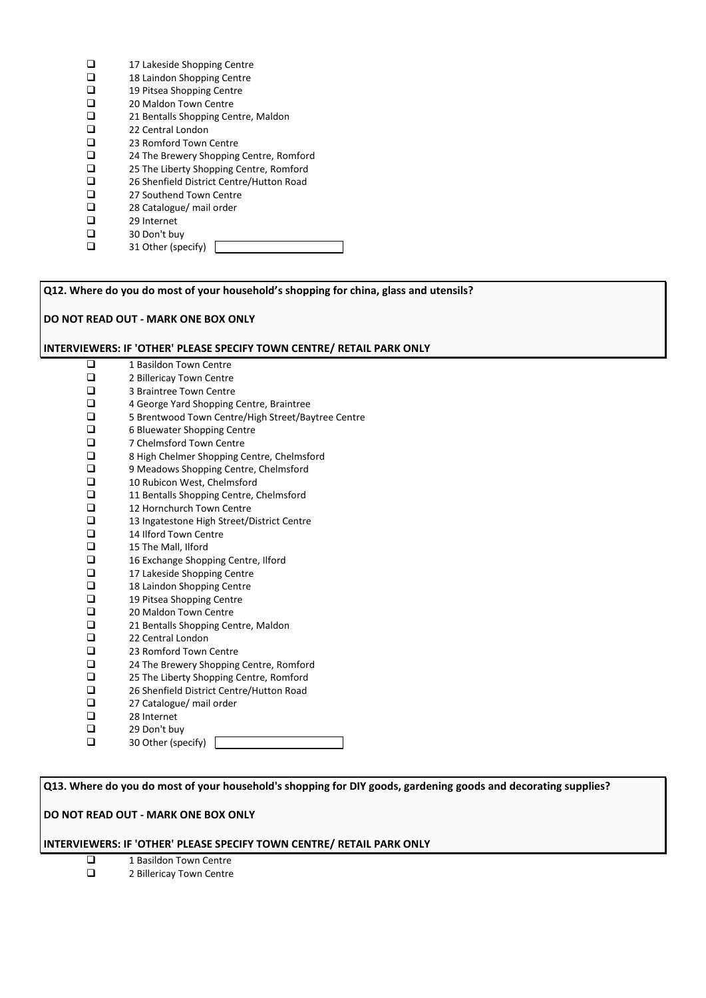- $\Box$  17 Lakeside Shopping Centre<br> $\Box$  18 Laindon Shopping Centre
- $\Box$  18 Laindon Shopping Centre<br> $\Box$  19 Pitsea Shopping Centre
- □ 19 Pitsea Shopping Centre<br>□ 20 Maldon Town Centre
- $\Box$  20 Maldon Town Centre<br> $\Box$  21 Bentalls Shopping Cer
- $\Box$  21 Bentalls Shopping Centre, Maldon  $\Box$  22 Central London
- □ 22 Central London<br>□ 23 Romford Town
- $\Box$  23 Romford Town Centre<br> $\Box$  24 The Brewery Shopping
- $\Box$  24 The Brewery Shopping Centre, Romford<br> $\Box$  25 The Liberty Shopping Centre, Romford
- □ 25 The Liberty Shopping Centre, Romford<br>□ 26 Shenfield District Centre/Hutton Road
- $\Box$  26 Shenfield District Centre/Hutton Road<br> $\Box$  27 Southend Town Centre
- $\Box$  27 Southend Town Centre<br> $\Box$  28 Catalogue/ mail order
- $\Box$  28 Catalogue/ mail order<br> $\Box$  29 Internet
- $\Box$  29 Internet<br> $\Box$  30 Don't bu
- $\Box$  30 Don't buy<br> $\Box$  31 Other (spe 31 Other (specify)

**Q12. Where do you do most of your household's shopping for china, glass and utensils?**

# **DO NOT READ OUT - MARK ONE BOX ONLY**

# **INTERVIEWERS: IF 'OTHER' PLEASE SPECIFY TOWN CENTRE/ RETAIL PARK ONLY**

 $\Box$  1 Basildon Town Centre<br> $\Box$  2 Billericav Town Centre  $\Box$  2 Billericay Town Centre<br> $\Box$  3 Braintree Town Centre  $\Box$  3 Braintree Town Centre<br> $\Box$  4 George Yard Shopping  $\Box$  4 George Yard Shopping Centre, Braintree<br> $\Box$  5 Brentwood Town Centre/High Street/Ba  $\square$  5 Brentwood Town Centre/High Street/Baytree Centre<br> $\square$  6 Bluewater Shopping Centre □ 6 Bluewater Shopping Centre<br>□ 7 Chelmsford Town Centre  $\Box$  7 Chelmsford Town Centre<br> $\Box$  8 High Chelmer Shopping C  $\Box$  8 High Chelmer Shopping Centre, Chelmsford<br> $\Box$  9 Meadows Shopping Centre, Chelmsford 9 Meadows Shopping Centre, Chelmsford 10 Rubicon West, Chelmsford<br>
11 Bentalls Shopping Centre, 0 11 Bentalls Shopping Centre, Chelmsford  $\Box$  12 Hornchurch Town Centre<br> $\Box$  13 Ingatestone High Street/E  $\Box$  13 Ingatestone High Street/District Centre<br> $\Box$  14 Ilford Town Centre  $\Box$  14 Ilford Town Centre<br> $\Box$  15 The Mall, Ilford  $\Box$  15 The Mall, Ilford<br> $\Box$  16 Exchange Shopp  $\Box$  16 Exchange Shopping Centre, Ilford<br> $\Box$  17 Lakeside Shopping Centre  $\Box$  17 Lakeside Shopping Centre<br> $\Box$  18 Laindon Shopping Centre 18 Laindon Shopping Centre □ 19 Pitsea Shopping Centre<br>□ 20 Maldon Town Centre 20 Maldon Town Centre  $\Box$  21 Bentalls Shopping Centre, Maldon  $\Box$  22 Central London 22 Central London □ 23 Romford Town Centre  $\Box$  24 The Brewery Shopping Centre, Romford<br> $\Box$  25 The Liberty Shopping Centre, Romford □ 25 The Liberty Shopping Centre, Romford<br>□ 26 Shenfield District Centre/Hutton Road  $\Box$  26 Shenfield District Centre/Hutton Road<br> $\Box$  27 Catalogue/ mail order  $\square$  27 Catalogue/ mail order<br> $\square$  28 Internet 28 Internet □ 29 Don't buy **a** 30 Other (specify) [

**Q13. Where do you do most of your household's shopping for DIY goods, gardening goods and decorating supplies?**

# **DO NOT READ OUT - MARK ONE BOX ONLY**

# **INTERVIEWERS: IF 'OTHER' PLEASE SPECIFY TOWN CENTRE/ RETAIL PARK ONLY**

- 1 Basildon Town Centre
- □ 2 Billericay Town Centre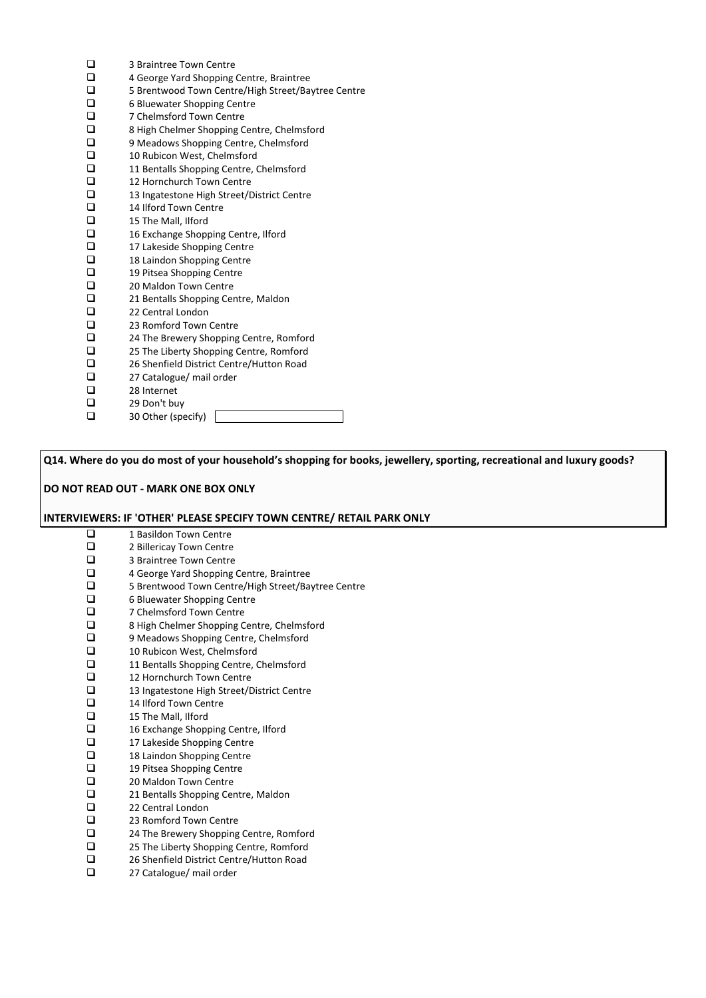| □         | 3 Braintree Town Centre                            |
|-----------|----------------------------------------------------|
| $\Box$    | 4 George Yard Shopping Centre, Braintree           |
| $\Box$    | 5 Brentwood Town Centre/High Street/Baytree Centre |
| $\Box$    | 6 Bluewater Shopping Centre                        |
| $\Box$    | 7 Chelmsford Town Centre                           |
| $\Box$    | 8 High Chelmer Shopping Centre, Chelmsford         |
| $\Box$    | 9 Meadows Shopping Centre, Chelmsford              |
| $\Box$    | 10 Rubicon West, Chelmsford                        |
| $\Box$    | 11 Bentalls Shopping Centre, Chelmsford            |
| $\Box$    | 12 Hornchurch Town Centre                          |
| $\Box$    | 13 Ingatestone High Street/District Centre         |
| $\Box$    | 14 Ilford Town Centre                              |
| $\Box$    | 15 The Mall, Ilford                                |
| $\Box$    | 16 Exchange Shopping Centre, Ilford                |
| $\Box$    | 17 Lakeside Shopping Centre                        |
| $\Box$    | 18 Laindon Shopping Centre                         |
| $\Box$    | 19 Pitsea Shopping Centre                          |
| $\Box$    | 20 Maldon Town Centre                              |
| $\Box$    | 21 Bentalls Shopping Centre, Maldon                |
| $\Box$    | 22 Central London                                  |
| $\Box$    | 23 Romford Town Centre                             |
| $\square$ | 24 The Brewery Shopping Centre, Romford            |
| $\Box$    | 25 The Liberty Shopping Centre, Romford            |
| $\Box$    | 26 Shenfield District Centre/Hutton Road           |
| $\Box$    | 27 Catalogue/ mail order                           |
| $\Box$    | 28 Internet                                        |
| $\Box$    | 29 Don't buy                                       |
| $\Box$    | 30 Other (specify)                                 |

**Q14. Where do you do most of your household's shopping for books, jewellery, sporting, recreational and luxury goods?**

# **DO NOT READ OUT - MARK ONE BOX ONLY**

# **INTERVIEWERS: IF 'OTHER' PLEASE SPECIFY TOWN CENTRE/ RETAIL PARK ONLY**

| □         | 1 Basildon Town Centre                             |
|-----------|----------------------------------------------------|
| $\Box$    | 2 Billericay Town Centre                           |
| $\Box$    | 3 Braintree Town Centre                            |
| $\Box$    | 4 George Yard Shopping Centre, Braintree           |
| $\Box$    | 5 Brentwood Town Centre/High Street/Baytree Centre |
| $\Box$    | 6 Bluewater Shopping Centre                        |
| $\Box$    | 7 Chelmsford Town Centre                           |
| $\Box$    | 8 High Chelmer Shopping Centre, Chelmsford         |
| $\Box$    | 9 Meadows Shopping Centre, Chelmsford              |
| $\Box$    | 10 Rubicon West, Chelmsford                        |
| $\Box$    | 11 Bentalls Shopping Centre, Chelmsford            |
| $\Box$    | 12 Hornchurch Town Centre                          |
| $\Box$    | 13 Ingatestone High Street/District Centre         |
| $\Box$    | 14 Ilford Town Centre                              |
| $\Box$    | 15 The Mall, Ilford                                |
| $\Box$    | 16 Exchange Shopping Centre, Ilford                |
| $\square$ | 17 Lakeside Shopping Centre                        |
| $\Box$    | 18 Laindon Shopping Centre                         |
| $\Box$    | 19 Pitsea Shopping Centre                          |
| $\Box$    | 20 Maldon Town Centre                              |
| $\Box$    | 21 Bentalls Shopping Centre, Maldon                |
| $\Box$    | 22 Central London                                  |
| $\Box$    | 23 Romford Town Centre                             |
| $\Box$    | 24 The Brewery Shopping Centre, Romford            |
| $\Box$    | 25 The Liberty Shopping Centre, Romford            |
| $\Box$    | 26 Shenfield District Centre/Hutton Road           |
| □         | 27 Catalogue/ mail order                           |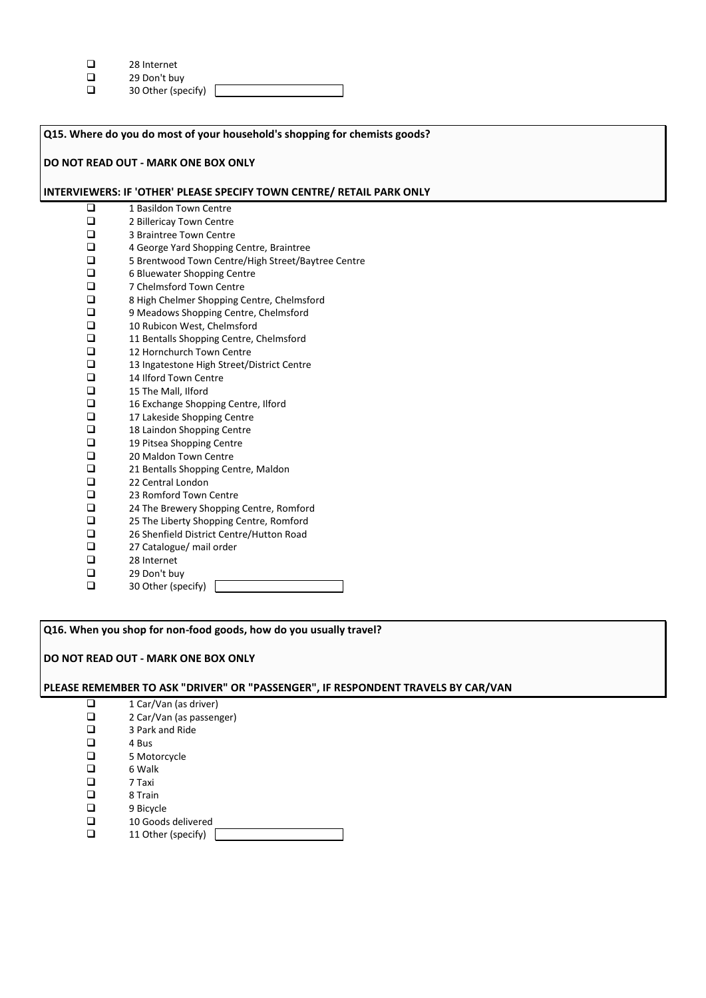| ◻ | 28 Internet |
|---|-------------|
|   |             |

- 
- $\Box$  29 Don't buy<br> $\Box$  30 Other (spe 30 Other (specify)

| Q15. Where do you do most of your household's shopping for chemists goods? |                                                                       |  |
|----------------------------------------------------------------------------|-----------------------------------------------------------------------|--|
| DO NOT READ OUT - MARK ONE BOX ONLY                                        |                                                                       |  |
|                                                                            |                                                                       |  |
|                                                                            | INTERVIEWERS: IF 'OTHER' PLEASE SPECIFY TOWN CENTRE/ RETAIL PARK ONLY |  |
| $\Box$                                                                     | 1 Basildon Town Centre                                                |  |
| $\Box$                                                                     | 2 Billericay Town Centre                                              |  |
| $\Box$                                                                     | 3 Braintree Town Centre                                               |  |
| $\Box$                                                                     | 4 George Yard Shopping Centre, Braintree                              |  |
| $\Box$                                                                     | 5 Brentwood Town Centre/High Street/Baytree Centre                    |  |
| $\Box$                                                                     | 6 Bluewater Shopping Centre                                           |  |
| $\Box$                                                                     | 7 Chelmsford Town Centre                                              |  |
| $\Box$                                                                     | 8 High Chelmer Shopping Centre, Chelmsford                            |  |
| $\Box$                                                                     | 9 Meadows Shopping Centre, Chelmsford                                 |  |
| □                                                                          | 10 Rubicon West, Chelmsford                                           |  |
| $\Box$                                                                     | 11 Bentalls Shopping Centre, Chelmsford                               |  |
| $\Box$                                                                     | 12 Hornchurch Town Centre                                             |  |
| $\Box$                                                                     | 13 Ingatestone High Street/District Centre                            |  |
| □                                                                          | 14 Ilford Town Centre                                                 |  |
| □                                                                          | 15 The Mall, Ilford                                                   |  |
| ❏                                                                          | 16 Exchange Shopping Centre, Ilford                                   |  |
| ❏                                                                          | 17 Lakeside Shopping Centre                                           |  |
| $\Box$                                                                     | 18 Laindon Shopping Centre                                            |  |
| $\Box$                                                                     | 19 Pitsea Shopping Centre                                             |  |
| $\Box$                                                                     | 20 Maldon Town Centre                                                 |  |
| $\Box$                                                                     | 21 Bentalls Shopping Centre, Maldon                                   |  |
| $\Box$                                                                     | 22 Central London                                                     |  |
| $\Box$                                                                     | 23 Romford Town Centre                                                |  |
| $\Box$                                                                     | 24 The Brewery Shopping Centre, Romford                               |  |
| $\Box$                                                                     | 25 The Liberty Shopping Centre, Romford                               |  |
| $\Box$                                                                     | 26 Shenfield District Centre/Hutton Road                              |  |
| $\Box$                                                                     | 27 Catalogue/ mail order                                              |  |
| $\Box$                                                                     | 28 Internet                                                           |  |
| $\Box$                                                                     | 29 Don't buy                                                          |  |
| $\Box$                                                                     | 30 Other (specify)                                                    |  |

**Q16. When you shop for non-food goods, how do you usually travel?**

**DO NOT READ OUT - MARK ONE BOX ONLY**

# **PLEASE REMEMBER TO ASK "DRIVER" OR "PASSENGER", IF RESPONDENT TRAVELS BY CAR/VAN**

- $\Box$  1 Car/Van (as driver)<br> $\Box$  2 Car/Van (as passen  $\Box$  2 Car/Van (as passenger)<br> $\Box$  3 Park and Ride  $\Box$  3 Park and Ride  $\Box$  4 Bus  $\begin{array}{ccc}\n\Box & 4 \text{ Bus} \\
\Box & 5 \text{ Mot}\n\end{array}$  $\Box$  5 Motorcycle<br> $\Box$  6 Walk  $\Box$  6 Walk<br> $\Box$  7 Taxi □ 7 Taxi<br>□ 8 Trair □ 8 Train<br>□ 9 Bicycl  $\Box$  9 Bicycle<br> $\Box$  10 Goods
- 
- $\Box$  10 Goods delivered<br> $\Box$  11 Other (specify) 11 Other (specify) [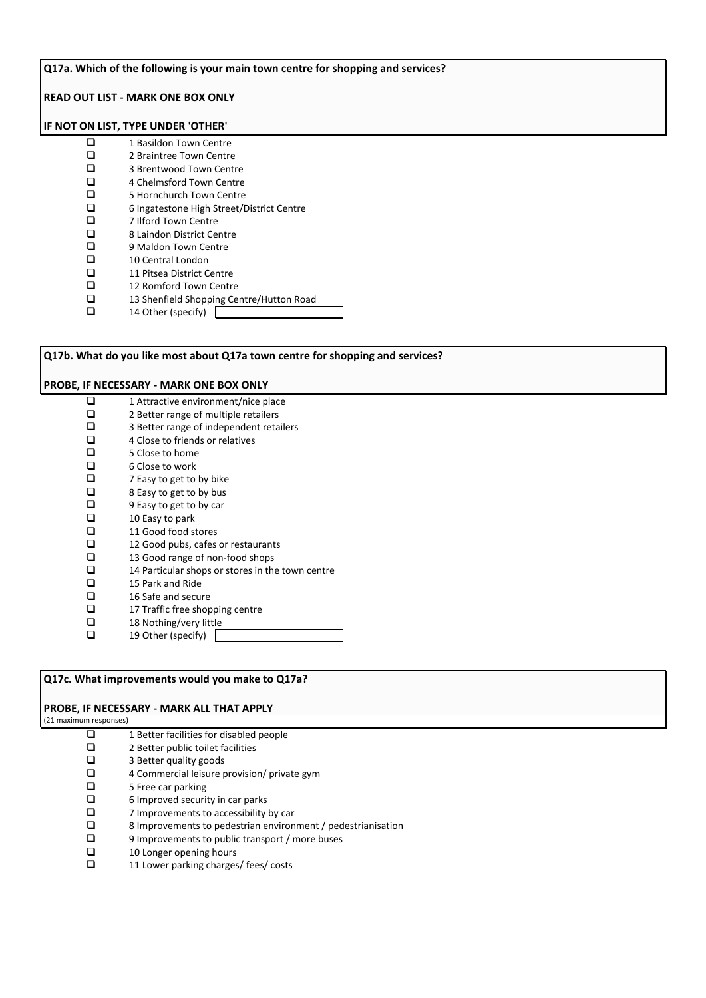# **Q17a. Which of the following is your main town centre for shopping and services?**

## **READ OUT LIST - MARK ONE BOX ONLY**

# **IF NOT ON LIST, TYPE UNDER 'OTHER'**

| □ | 1 Basildon Town Centre                    |
|---|-------------------------------------------|
| ◻ | 2 Braintree Town Centre                   |
| ◻ | 3 Brentwood Town Centre                   |
| ◻ | 4 Chelmsford Town Centre                  |
| ◻ | 5 Hornchurch Town Centre                  |
| ◻ | 6 Ingatestone High Street/District Centre |
| □ | 7 Ilford Town Centre                      |
| ◻ | 8 Laindon District Centre                 |
| ◻ | 9 Maldon Town Centre                      |
|   | 10 Central London                         |
|   |                                           |

- 
- 11 Pitsea District Centre<br>
12 Romford Town Centre 12 Romford Town Centre<br>13 Shenfield Shopping Centre
- 13 Shenfield Shopping Centre/Hutton Road
- $\Box$  14 Other (specify)

| Q17b. What do you like most about Q17a town centre for shopping and services? |                                                  |  |  |  |  |
|-------------------------------------------------------------------------------|--------------------------------------------------|--|--|--|--|
| <b>PROBE, IF NECESSARY - MARK ONE BOX ONLY</b>                                |                                                  |  |  |  |  |
| ப                                                                             | 1 Attractive environment/nice place              |  |  |  |  |
|                                                                               | 2 Better range of multiple retailers             |  |  |  |  |
| □                                                                             | 3 Better range of independent retailers          |  |  |  |  |
| □                                                                             | 4 Close to friends or relatives                  |  |  |  |  |
| □                                                                             | 5 Close to home                                  |  |  |  |  |
| □                                                                             | 6 Close to work                                  |  |  |  |  |
| □                                                                             | 7 Easy to get to by bike                         |  |  |  |  |
| □                                                                             | 8 Easy to get to by bus                          |  |  |  |  |
| □                                                                             | 9 Easy to get to by car                          |  |  |  |  |
| ◻                                                                             | 10 Easy to park                                  |  |  |  |  |
| ◻                                                                             | 11 Good food stores                              |  |  |  |  |
| ◻                                                                             | 12 Good pubs, cafes or restaurants               |  |  |  |  |
| □                                                                             | 13 Good range of non-food shops                  |  |  |  |  |
| □                                                                             | 14 Particular shops or stores in the town centre |  |  |  |  |
| ◻                                                                             | 15 Park and Ride                                 |  |  |  |  |
| □                                                                             | 16 Safe and secure                               |  |  |  |  |
| □                                                                             | 17 Traffic free shopping centre                  |  |  |  |  |
| П                                                                             | 18 Nothing/very little                           |  |  |  |  |
| ◻                                                                             | 19 Other (specify)                               |  |  |  |  |

# **Q17c. What improvements would you make to Q17a?**

## **PROBE, IF NECESSARY - MARK ALL THAT APPLY**

(21 maximum responses)

| □ | 1 Better facilities for disabled people                      |
|---|--------------------------------------------------------------|
| □ | 2 Better public toilet facilities                            |
| □ | 3 Better quality goods                                       |
| □ | 4 Commercial leisure provision/ private gym                  |
| □ | 5 Free car parking                                           |
| □ | 6 Improved security in car parks                             |
| ◻ | 7 Improvements to accessibility by car                       |
| ◻ | 8 Improvements to pedestrian environment / pedestrianisation |
| □ | 9 Improvements to public transport / more buses              |
| □ | 10 Longer opening hours                                      |
|   | 11 Lower parking charges/ fees/ costs                        |
|   |                                                              |
|   |                                                              |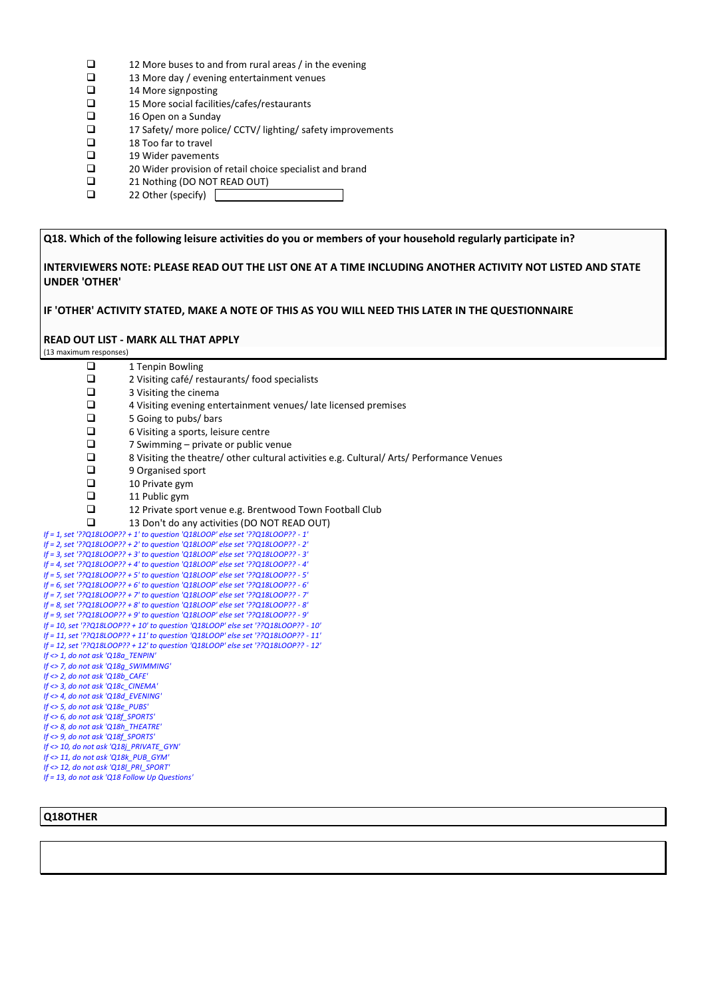- $\Box$  12 More buses to and from rural areas / in the evening  $\Box$  13 More day / evening entertainment venues
- $\Box$  13 More day / evening entertainment venues<br> $\Box$  14 More signposting
- $\Box$  14 More signposting<br> $\Box$  15 More social facilit
- $\Box$  15 More social facilities/cafes/restaurants<br> $\Box$  16 Open on a Sunday
- $\Box$  16 Open on a Sunday<br> $\Box$  17 Safety/ more police
- $\Box$  17 Safety/ more police/ CCTV/ lighting/ safety improvements<br> $\Box$  18 Too far to travel
- $\Box$  18 Too far to travel<br> $\Box$  19 Wider pavement
- $\Box$  19 Wider pavements<br> $\Box$  20 Wider provision of
- □ 20 Wider provision of retail choice specialist and brand<br>□ 21 Nothing (DO NOT READ OUT)
- $\Box$  21 Nothing (DO NOT READ OUT)<br> $\Box$  22 Other (specify)
- 22 Other (specify)  $\Box$

**Q18. Which of the following leisure activities do you or members of your household regularly participate in?** 

**INTERVIEWERS NOTE: PLEASE READ OUT THE LIST ONE AT A TIME INCLUDING ANOTHER ACTIVITY NOT LISTED AND STATE UNDER 'OTHER'**

**IF 'OTHER' ACTIVITY STATED, MAKE A NOTE OF THIS AS YOU WILL NEED THIS LATER IN THE QUESTIONNAIRE**

#### **READ OUT LIST - MARK ALL THAT APPLY**

(13 maximum responses)

| ❏                                             | 1 Tenpin Bowling                                                                                                                                                       |
|-----------------------------------------------|------------------------------------------------------------------------------------------------------------------------------------------------------------------------|
| □                                             | 2 Visiting café/ restaurants/ food specialists                                                                                                                         |
| $\Box$                                        | 3 Visiting the cinema                                                                                                                                                  |
| $\Box$                                        | 4 Visiting evening entertainment venues/late licensed premises                                                                                                         |
| $\Box$                                        | 5 Going to pubs/ bars                                                                                                                                                  |
| $\Box$                                        | 6 Visiting a sports, leisure centre                                                                                                                                    |
| $\Box$                                        | 7 Swimming – private or public venue                                                                                                                                   |
| $\Box$                                        | 8 Visiting the theatre/other cultural activities e.g. Cultural/Arts/Performance Venues                                                                                 |
| $\Box$                                        | 9 Organised sport                                                                                                                                                      |
| $\Box$                                        | 10 Private gym                                                                                                                                                         |
| $\Box$                                        | 11 Public gym                                                                                                                                                          |
| $\Box$                                        | 12 Private sport venue e.g. Brentwood Town Football Club                                                                                                               |
| □                                             | 13 Don't do any activities (DO NOT READ OUT)                                                                                                                           |
|                                               | If = 1, set '??Q18LOOP?? + 1' to question 'Q18LOOP' else set '??Q18LOOP?? - 1'                                                                                         |
|                                               | If = 2, set '??Q18LOOP?? + 2' to question 'Q18LOOP' else set '??Q18LOOP?? - 2'                                                                                         |
|                                               | If = 3, set '??Q18LOOP?? + 3' to question 'Q18LOOP' else set '??Q18LOOP?? - 3'                                                                                         |
|                                               | If = 4, set '??Q18LOOP?? + 4' to question 'Q18LOOP' else set '??Q18LOOP?? - 4'                                                                                         |
|                                               | If = 5, set '??Q18LOOP?? + 5' to question 'Q18LOOP' else set '??Q18LOOP?? - 5'                                                                                         |
|                                               | If = 6, set '??Q18LOOP?? + 6' to question 'Q18LOOP' else set '??Q18LOOP?? - 6'                                                                                         |
|                                               | If = 7, set '??Q18LOOP?? + 7' to question 'Q18LOOP' else set '??Q18LOOP?? - 7'                                                                                         |
|                                               | If = 8, set '??Q18LOOP?? + 8' to question 'Q18LOOP' else set '??Q18LOOP?? - 8'                                                                                         |
|                                               | If = 9, set '??Q18LOOP?? + 9' to question 'Q18LOOP' else set '??Q18LOOP?? - 9'                                                                                         |
|                                               | If = 10, set '??Q18LOOP?? + 10' to question 'Q18LOOP' else set '??Q18LOOP?? - 10'                                                                                      |
|                                               | If = 11, set '??Q18LOOP?? + 11' to question 'Q18LOOP' else set '??Q18LOOP?? - 11'<br>If = 12, set '??Q18LOOP?? + 12' to question 'Q18LOOP' else set '??Q18LOOP?? - 12' |
| If <> 1, do not ask 'Q18a TENPIN'             |                                                                                                                                                                        |
| If <> 7, do not ask 'Q18q SWIMMING'           |                                                                                                                                                                        |
| If $\langle$ > 2, do not ask 'Q18b CAFE'      |                                                                                                                                                                        |
| If <> 3, do not ask 'Q18c CINEMA'             |                                                                                                                                                                        |
| If <> 4, do not ask 'Q18d EVENING'            |                                                                                                                                                                        |
| If <> 5, do not ask 'Q18e PUBS'               |                                                                                                                                                                        |
| If <> 6, do not ask 'Q18f_SPORTS'             |                                                                                                                                                                        |
| If <> 8, do not ask 'Q18h THEATRE'            |                                                                                                                                                                        |
| If <> 9, do not ask 'Q18f_SPORTS'             |                                                                                                                                                                        |
| If <> 10, do not ask 'Q18j_PRIVATE_GYN'       |                                                                                                                                                                        |
| If <> 11, do not ask 'Q18k PUB GYM'           |                                                                                                                                                                        |
| If <> 12, do not ask 'Q18  PRI SPORT'         |                                                                                                                                                                        |
| If = 13, do not ask 'Q18 Follow Up Questions' |                                                                                                                                                                        |

## **Q18OTHER**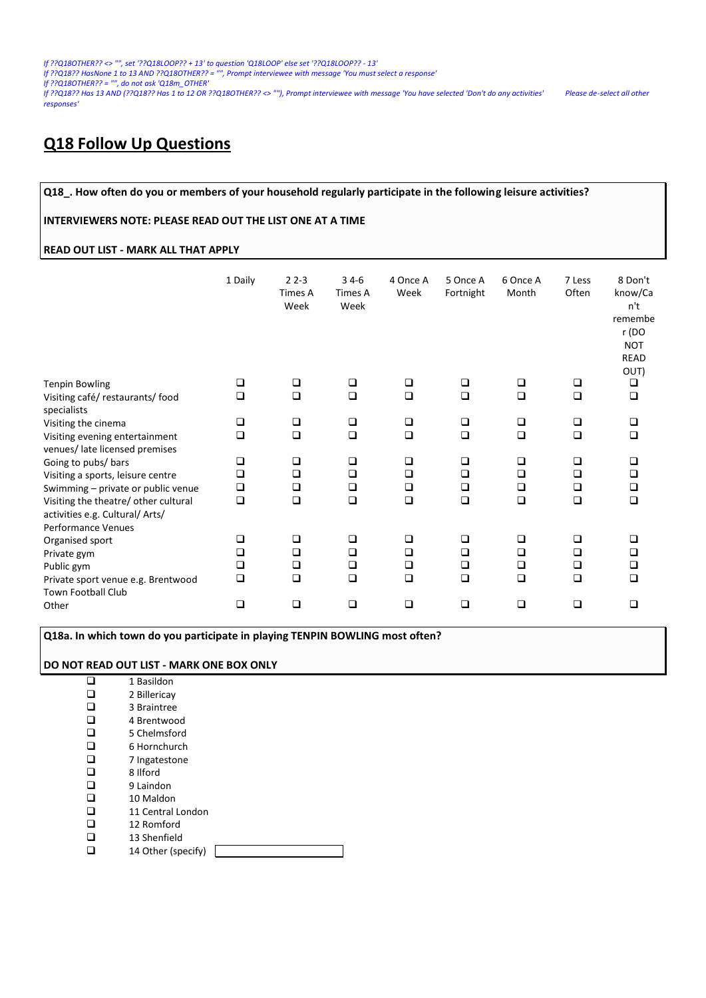*If ??Q18OTHER?? <> "", set '??Q18LOOP?? + 13' to question 'Q18LOOP' else set '??Q18LOOP?? - 13'*

*If ??Q18?? HasNone 1 to 13 AND ??Q18OTHER?? = "", Prompt interviewee with message 'You must select a response'*

*If ??Q18OTHER?? = "", do not ask 'Q18m\_OTHER'*

*If ??Q18?? Has 13 AND (??Q18?? Has 1 to 12 OR ??Q18OTHER?? <> ""), Prompt interviewee with message 'You have selected 'Don't do any activities' Please de-select all other responses'*

# **Q18 Follow Up Questions**

#### **Q18\_. How often do you or members of your household regularly participate in the following leisure activities?**

#### **INTERVIEWERS NOTE: PLEASE READ OUT THE LIST ONE AT A TIME**

# **READ OUT LIST - MARK ALL THAT APPLY**

|                                                                                                                                                                           | 1 Daily                         | $22-3$<br>Times A<br>Week       | $34-6$<br>Times A<br>Week            | 4 Once A<br>Week           | 5 Once A<br>Fortnight      | 6 Once A<br>Month               | 7 Less<br>Often            | 8 Don't<br>know/Ca<br>n't<br>remembe<br>r (DO<br><b>NOT</b><br><b>READ</b><br>OUT) |
|---------------------------------------------------------------------------------------------------------------------------------------------------------------------------|---------------------------------|---------------------------------|--------------------------------------|----------------------------|----------------------------|---------------------------------|----------------------------|------------------------------------------------------------------------------------|
| <b>Tenpin Bowling</b>                                                                                                                                                     | ❏                               | $\Box$                          | ❏                                    | ❏                          | □                          | ❏                               | ❏                          | ❏                                                                                  |
| Visiting café/ restaurants/ food                                                                                                                                          | $\Box$                          | $\Box$                          | $\Box$                               | $\Box$                     | $\Box$                     | $\Box$                          | $\Box$                     | $\Box$                                                                             |
| specialists<br>Visiting the cinema<br>Visiting evening entertainment<br>venues/ late licensed premises                                                                    | $\Box$<br>$\Box$                | $\Box$<br>$\Box$                | ❏<br>$\Box$                          | ❏<br>$\Box$                | ❏<br>$\Box$                | ❏<br>$\Box$                     | ❏<br>$\Box$                | □<br>$\Box$                                                                        |
| Going to pubs/ bars<br>Visiting a sports, leisure centre<br>Swimming - private or public venue<br>Visiting the theatre/ other cultural<br>activities e.g. Cultural/ Arts/ | ❏<br>$\Box$<br>$\Box$<br>$\Box$ | □<br>□<br>□<br>$\Box$           | $\Box$<br>$\Box$<br>$\Box$<br>$\Box$ | □<br>$\Box$<br>□<br>$\Box$ | ❏<br>$\Box$<br>□<br>$\Box$ | ❏<br>$\Box$<br>$\Box$<br>$\Box$ | ❏<br>$\Box$<br>❏<br>$\Box$ | □<br>$\Box$<br>❏<br>$\Box$                                                         |
| <b>Performance Venues</b><br>Organised sport<br>Private gym<br>Public gym<br>Private sport venue e.g. Brentwood                                                           | □<br>$\Box$<br>$\Box$<br>$\Box$ | $\Box$<br>□<br>$\Box$<br>$\Box$ | $\Box$<br>□<br>$\Box$<br>$\Box$      | □<br>□<br>$\Box$<br>$\Box$ | $\Box$<br>❏<br>❏<br>$\Box$ | □<br>$\Box$<br>$\Box$<br>$\Box$ | □<br>□<br>□<br>$\Box$      | □<br>□<br>❏<br>□                                                                   |
| <b>Town Football Club</b><br>Other                                                                                                                                        | $\Box$                          | $\Box$                          | $\Box$                               | □                          | $\Box$                     | $\Box$                          | □                          | $\Box$                                                                             |

**Q18a. In which town do you participate in playing TENPIN BOWLING most often?**

#### **DO NOT READ OUT LIST - MARK ONE BOX ONLY**

|     | 1 Basildon        |
|-----|-------------------|
| ப   | 2 Billericay      |
| ┚   | 3 Braintree       |
| ப   | 4 Brentwood       |
| ப   | 5 Chelmsford      |
| ◻   | 6 Hornchurch      |
| □   | 7 Ingatestone     |
| ப   | 8 Ilford          |
| ப   | 9 Laindon         |
| ப   | 10 Maldon         |
| ┚   | 11 Central London |
| - 1 | 12 Romford        |
|     | 13 Shenfield      |

 $\Box$  14 Other (specify)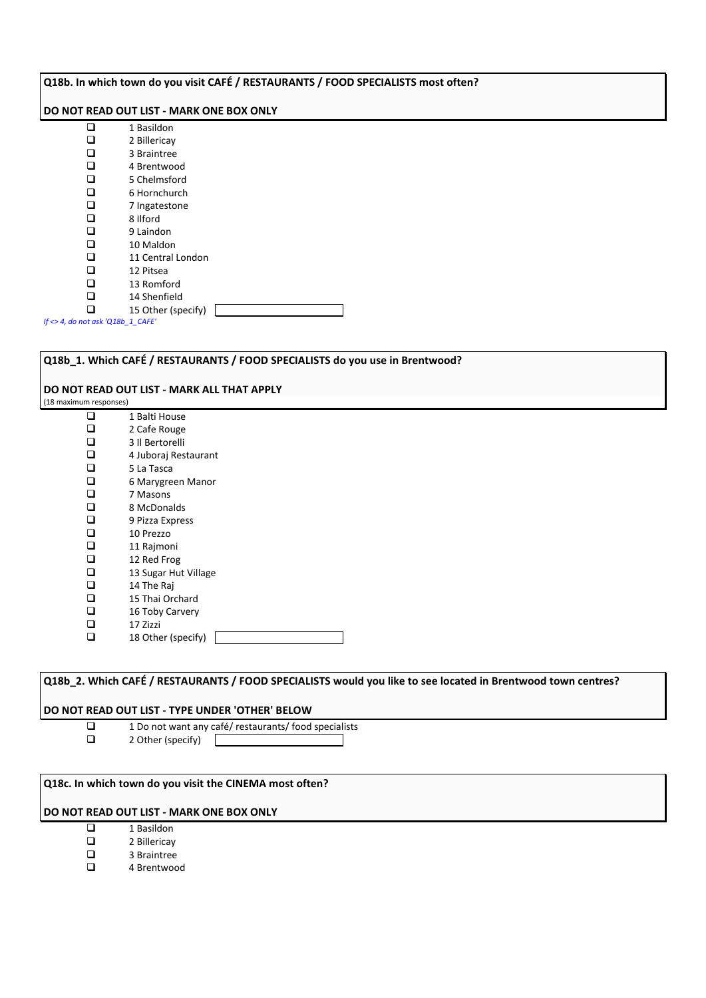#### **Q18b. In which town do you visit CAFÉ / RESTAURANTS / FOOD SPECIALISTS most often?**

#### **DO NOT READ OUT LIST - MARK ONE BOX ONLY**

| ı.  | 1 Basildon         |
|-----|--------------------|
|     | 2 Billericay       |
| ப   | 3 Braintree        |
| □   | 4 Brentwood        |
| □   | 5 Chelmsford       |
| ⊔   | 6 Hornchurch       |
| ❏   | 7 Ingatestone      |
| ◻   | 8 Ilford           |
| ◻   | 9 Laindon          |
| □   | 10 Maldon          |
| □   | 11 Central London  |
| □   | 12 Pitsea          |
| . . | 13 Romford         |
|     | 14 Shenfield       |
|     | 15 Other (specify) |

*If <> 4, do not ask 'Q18b\_1\_CAFE'*

## **Q18b\_1. Which CAFÉ / RESTAURANTS / FOOD SPECIALISTS do you use in Brentwood?**

#### **DO NOT READ OUT LIST - MARK ALL THAT APPLY**

(18 maximum responses)

 $\Box$  1 Balti House<br> $\Box$  2 Cafe Rouge 2 Cafe Rouge 3 Il Bertorelli  $\Box$  4 Juboraj Restaurant<br> $\Box$  5 La Tasca 5 La Tasca □ 6 Marygreen Manor<br>□ 7 Masons □ 7 Masons<br>□ 8 McDona  $\Box$  8 McDonalds<br> $\Box$  9 Pizza Expres  $\Box$  9 Pizza Express<br> $\Box$  10 Prezzo  $\Box$  10 Prezzo  $\Box$  11 Rajmoni<br> $\Box$  12 Red Frog  $\Box$  12 Red Frog<br> $\Box$  13 Sugar Hut 13 Sugar Hut Village 14 The Raj  $\Box$  15 Thai Orchard<br> $\Box$  16 Toby Carvery 16 Toby Carvery  $\Box$  17 Zizzi  $\Box$  18 Other (specify)

# **Q18b\_2. Which CAFÉ / RESTAURANTS / FOOD SPECIALISTS would you like to see located in Brentwood town centres?**

#### **DO NOT READ OUT LIST - TYPE UNDER 'OTHER' BELOW**

- $\Box$  1 Do not want any café/ restaurants/ food specialists<br> $\Box$  2 Other (specify)
	- 2 Other (specify)  $\mathbf{L}$
- 

#### **Q18c. In which town do you visit the CINEMA most often?**

- 1 Basildon
- □ 2 Billericay
- **a** 3 Braintree
- 4 Brentwood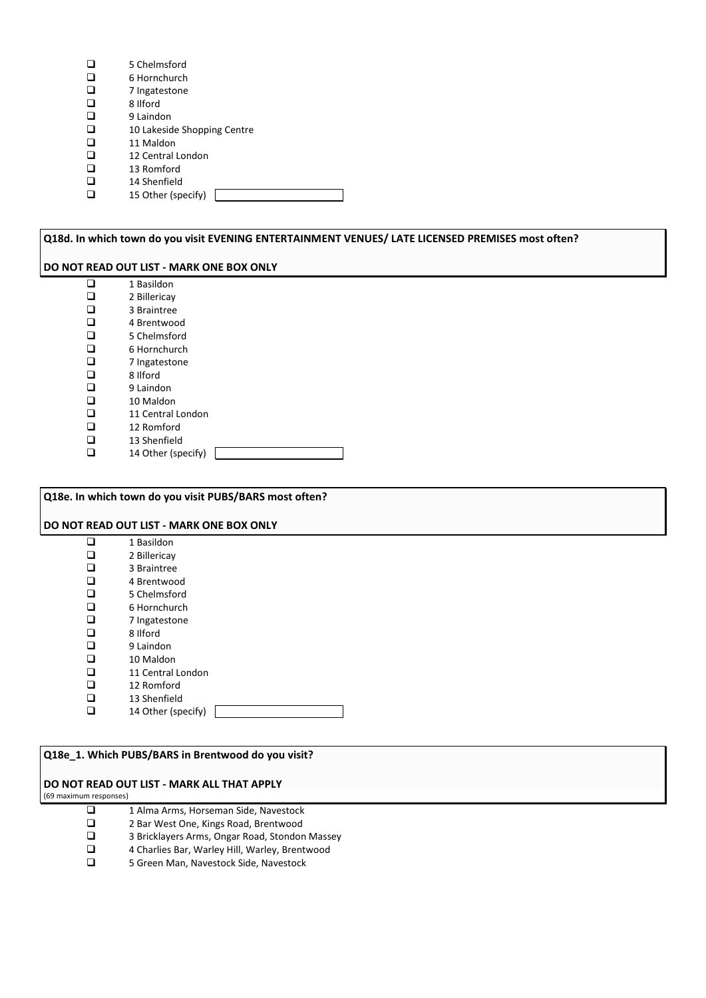|   | 6 Hornchurch                |
|---|-----------------------------|
|   | 7 Ingatestone               |
| □ | 8 Ilford                    |
| ◻ | 9 Laindon                   |
| □ | 10 Lakeside Shopping Centre |
| □ | 11 Maldon                   |
| ◻ | 12 Central London           |
| ப | 13 Romford                  |
| □ | 14 Shenfield                |
|   | 15 Other (specify)          |

**Q18d. In which town do you visit EVENING ENTERTAINMENT VENUES/ LATE LICENSED PREMISES most often? DO NOT READ OUT LIST - MARK ONE BOX ONLY**  $\Box$  1 Basildon<br> $\Box$  2 Billericav  $\Box$  2 Billericay<br> $\Box$  3 Braintree □ 3 Braintree<br>□ 4 Brentwoo  $\Box$  4 Brentwood<br> $\Box$  5 Chelmsford  $\Box$  5 Chelmsford<br> $\Box$  6 Hornchurch  $\Box$  6 Hornchurch<br> $\Box$  7 Ingatestone □ 7 Ingatestone<br>□ 8 Ilford  $\Box$  8 Ilford<br> $\Box$  9 Laindo  $\Box$ 9 Laindon<br>
10 Maldor  $\Box$  10 Maldon

- $\Box$  11 Central London<br> $\Box$  12 Romford
- $\Box$  12 Romford<br> $\Box$  13 Shenfield

5 Chelmsford

 $\Box$  13 Shenfield<br> $\Box$  14 Other (sp) 14 Other (specify)

**Q18e. In which town do you visit PUBS/BARS most often?**

#### **DO NOT READ OUT LIST - MARK ONE BOX ONLY**

|   | 1 Basildon         |
|---|--------------------|
| ◻ | 2 Billericay       |
| ◻ | 3 Braintree        |
|   | 4 Brentwood        |
| ◻ | 5 Chelmsford       |
| ◻ | 6 Hornchurch       |
| ◻ | 7 Ingatestone      |
| ◻ | 8 Ilford           |
| □ | 9 Laindon          |
| ◻ | 10 Maldon          |
| ◻ | 11 Central London  |
| □ | 12 Romford         |
|   | 13 Shenfield       |
|   | 14 Other (specify) |

#### **Q18e\_1. Which PUBS/BARS in Brentwood do you visit?**

## **DO NOT READ OUT LIST - MARK ALL THAT APPLY**

(69 maximum responses)

- 1 Alma Arms, Horseman Side, Navestock<br>2 Bar West One, Kings Road, Brentwood
- □ 2 Bar West One, Kings Road, Brentwood<br>□ 3 Bricklayers Arms, Ongar Road, Stondor
- $\square$  3 Bricklayers Arms, Ongar Road, Stondon Massey<br> $\square$  4 Charlies Bar. Warlev Hill. Warlev. Brentwood
- $\Box$  4 Charlies Bar, Warley Hill, Warley, Brentwood  $\Box$  5 Green Man. Navestock Side. Navestock
- 5 Green Man, Navestock Side, Navestock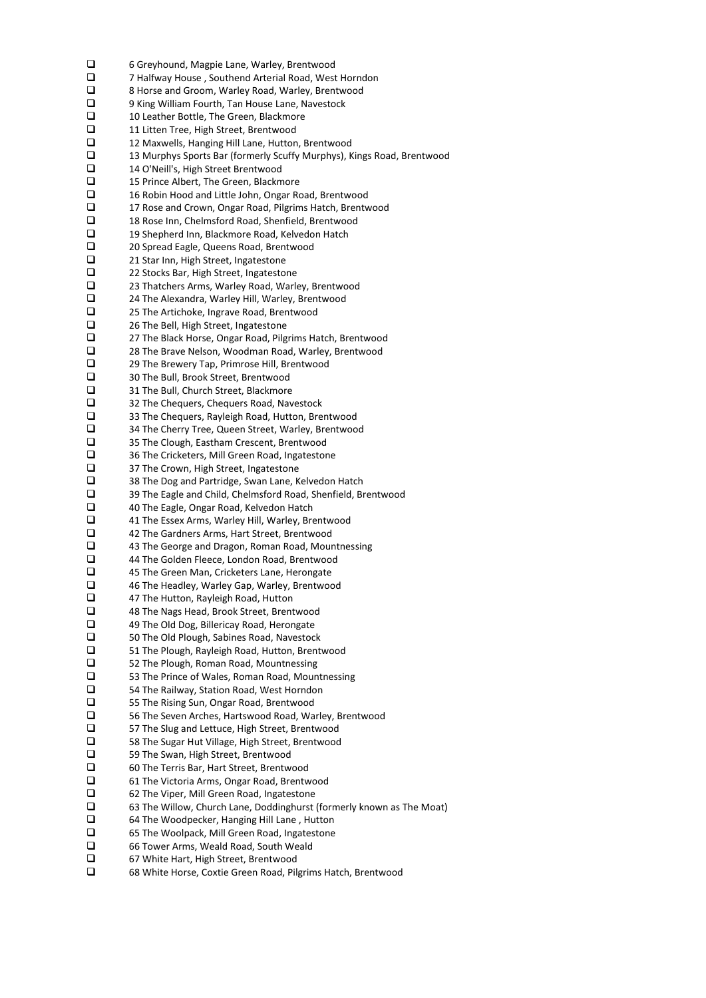$\Box$  6 Greyhound, Magpie Lane, Warley, Brentwood<br> $\Box$  7 Halfway House . Southend Arterial Road. West  $\square$  7 Halfway House , Southend Arterial Road, West Horndon<br> $\square$  8 Horse and Groom. Warley Road. Warley. Brentwood  $\Box$  8 Horse and Groom, Warley Road, Warley, Brentwood  $\Box$  9 King William Fourth, Tan House Lane, Navestock  $\square$  9 King William Fourth, Tan House Lane, Navestock<br> $\square$  10 Leather Bottle, The Green, Blackmore 10 Leather Bottle, The Green, Blackmore<br>11 Litten Tree, High Street, Brentwood 11 Litten Tree, High Street, Brentwood<br>12 Maxwells, Hanging Hill Lane, Hutton  $\square$  12 Maxwells, Hanging Hill Lane, Hutton, Brentwood<br> $\square$  13 Murphys Sports Bar (formerly Scuffy Murphys). 13 Murphys Sports Bar (formerly Scuffy Murphys), Kings Road, Brentwood 14 O'Neill's, High Street Brentwood<br>
15 Prince Albert, The Green, Blackm  $\Box$  15 Prince Albert, The Green, Blackmore<br> $\Box$  16 Robin Hood and Little John. Ongar Ro  $\square$  16 Robin Hood and Little John, Ongar Road, Brentwood<br> $\square$  17 Rose and Crown. Ongar Road. Pilgrims Hatch. Brentw □ 17 Rose and Crown, Ongar Road, Pilgrims Hatch, Brentwood<br>□ 18 Rose Inn, Chelmsford Road, Shenfield, Brentwood  $\Box$  18 Rose Inn, Chelmsford Road, Shenfield, Brentwood<br> $\Box$  19 Shepherd Inn. Blackmore Road. Kelvedon Hatch  $\Box$  19 Shepherd Inn, Blackmore Road, Kelvedon Hatch<br> $\Box$  20 Spread Eagle. Queens Road. Brentwood □ 20 Spread Eagle, Queens Road, Brentwood<br>□ 21 Star Inn, High Street, Ingatestone □ 21 Star Inn, High Street, Ingatestone<br>□ 22 Stocks Bar, High Street, Ingatesto □ 22 Stocks Bar, High Street, Ingatestone<br>□ 23 Thatchers Arms, Warley Road, Warl  $\square$  23 Thatchers Arms, Warley Road, Warley, Brentwood  $\square$  24 The Alexandra, Warley Hill, Warley, Brentwood  $\square$  24 The Alexandra, Warley Hill, Warley, Brentwood  $\square$  25 The Artichoke, Ingrave Road, Brentwood  $\square$  25 The Artichoke, Ingrave Road, Brentwood<br> $\square$  26 The Bell, High Street, Ingatestone □ 26 The Bell, High Street, Ingatestone<br>□ 27 The Black Horse, Ongar Road, Pilg  $\square$  27 The Black Horse, Ongar Road, Pilgrims Hatch, Brentwood<br> $\square$  28 The Brave Nelson. Woodman Road. Warlev. Brentwood  $\square$  28 The Brave Nelson, Woodman Road, Warley, Brentwood<br> $\square$  29 The Brewery Tap, Primrose Hill, Brentwood  $\square$  29 The Brewery Tap, Primrose Hill, Brentwood<br> $\square$  30 The Bull. Brook Street. Brentwood **1** 30 The Bull, Brook Street, Brentwood<br>**1** 31 The Bull. Church Street. Blackmore 31 The Bull, Church Street, Blackmore<br>
32 The Cheguers. Cheguers Road. Nav 32 The Chequers, Chequers Road, Navestock  $\square$  33 The Chequers, Rayleigh Road, Hutton, Brentwood  $\square$  34 The Cherry Tree, Queen Street, Warley, Brentwoo 34 The Cherry Tree, Queen Street, Warley, Brentwood  $\square$  35 The Clough, Eastham Crescent, Brentwood  $\square$  36 The Cricketers, Mill Green Road, Ingatestor  $\square$  36 The Cricketers, Mill Green Road, Ingatestone<br> $\square$  37 The Crown, High Street, Ingatestone 37 The Crown, High Street, Ingatestone  $\square$  38 The Dog and Partridge, Swan Lane, Kelvedon Hatch<br> $\square$  39 The Eagle and Child, Chelmsford Road, Shenfield, Br  $\square$  39 The Eagle and Child, Chelmsford Road, Shenfield, Brentwood  $\square$  40 The Eagle, Ongar Road, Kelvedon Hatch  $\square$  40 The Eagle, Ongar Road, Kelvedon Hatch<br> $\square$  41 The Essex Arms, Warley Hill, Warley, Bre  $\Box$  41 The Essex Arms, Warley Hill, Warley, Brentwood<br> $\Box$  42 The Gardners Arms. Hart Street. Brentwood  $\Box$  42 The Gardners Arms, Hart Street, Brentwood<br> $\Box$  43 The George and Dragon. Roman Road. Mour 43 The George and Dragon, Roman Road, Mountnessing  $\Box$  44 The Golden Fleece, London Road, Brentwood<br> $\Box$  45 The Green Man, Cricketers Lane, Herongate 45 The Green Man, Cricketers Lane, Herongate 46 The Headley, Warley Gap, Warley, Brentwood  $\Box$  47 The Hutton, Rayleigh Road, Hutton<br> $\Box$  48 The Nags Head, Brook Street, Brent  $\Box$  48 The Nags Head, Brook Street, Brentwood  $\Box$  49 The Old Dog, Billericay Road, Herongate 49 The Old Dog, Billericay Road, Herongate<br>
50 The Old Plough, Sabines Road, Navestocl  $\square$  50 The Old Plough, Sabines Road, Navestock<br> $\square$  51 The Plough, Rayleigh Road, Hutton, Brent  $\square$  51 The Plough, Rayleigh Road, Hutton, Brentwood<br> $\square$  52 The Plough, Roman Road, Mountnessing 52 The Plough, Roman Road, Mountnessing<br>
53 The Prince of Wales, Roman Road, Moun  $\square$  53 The Prince of Wales, Roman Road, Mountnessing<br> $\square$  54 The Railwav. Station Road. West Horndon 54 The Railway, Station Road, West Horndon  $\square$  55 The Rising Sun, Ongar Road, Brentwood<br> $\square$  56 The Seven Arches, Hartswood Road, Wa 56 The Seven Arches, Hartswood Road, Warley, Brentwood □ 57 The Slug and Lettuce, High Street, Brentwood  $\square$  58 The Sugar Hut Village, High Street, Brentwood<br> $\square$  59 The Swan, High Street, Brentwood 59 The Swan, High Street, Brentwood 60 The Terris Bar, Hart Street, Brentwood  $\square$  61 The Victoria Arms, Ongar Road, Brentwood  $\square$  62 The Viper, Mill Green Road, Ingatestone  $\square$  62 The Viper, Mill Green Road, Ingatestone<br> $\square$  63 The Willow, Church Lane, Doddinghurst  $\square$  63 The Willow, Church Lane, Doddinghurst (formerly known as The Moat)<br> $\square$  64 The Woodpecker, Hanging Hill Lane, Hutton 64 The Woodpecker, Hanging Hill Lane , Hutton 65 The Woolpack, Mill Green Road, Ingatestone □ 66 Tower Arms, Weald Road, South Weald □ 67 White Hart, High Street, Brentwood 68 White Horse, Coxtie Green Road, Pilgrims Hatch, Brentwood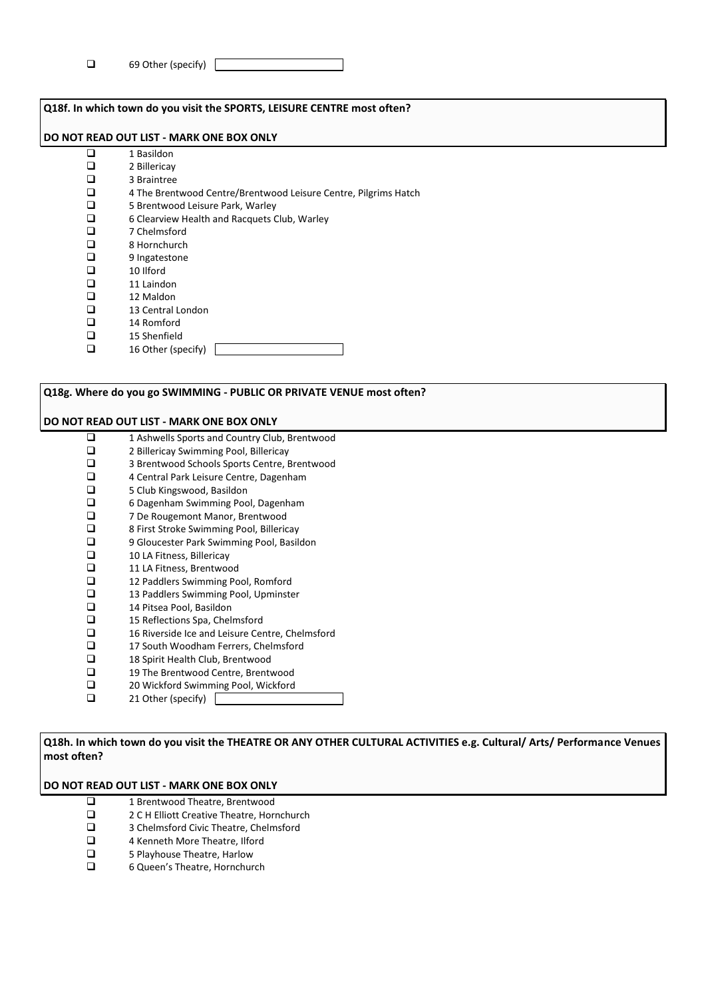| ◻<br>69 Other (specify) |  |
|-------------------------|--|
|-------------------------|--|

| Q18f. In which town do you visit the SPORTS, LEISURE CENTRE most often? |                                                                 |  |  |  |  |  |
|-------------------------------------------------------------------------|-----------------------------------------------------------------|--|--|--|--|--|
|                                                                         | DO NOT READ OUT LIST - MARK ONE BOX ONLY                        |  |  |  |  |  |
| l 1                                                                     | 1 Basildon                                                      |  |  |  |  |  |
| l 1                                                                     | 2 Billericay                                                    |  |  |  |  |  |
| П                                                                       | 3 Braintree                                                     |  |  |  |  |  |
| ◻                                                                       | 4 The Brentwood Centre/Brentwood Leisure Centre, Pilgrims Hatch |  |  |  |  |  |
| □                                                                       | 5 Brentwood Leisure Park, Warley                                |  |  |  |  |  |
| □                                                                       | 6 Clearview Health and Racquets Club, Warley                    |  |  |  |  |  |
| п                                                                       | 7 Chelmsford                                                    |  |  |  |  |  |
| □                                                                       | 8 Hornchurch                                                    |  |  |  |  |  |
| □                                                                       | 9 Ingatestone                                                   |  |  |  |  |  |
| n                                                                       | 10 Ilford                                                       |  |  |  |  |  |
| П                                                                       | 11 Laindon                                                      |  |  |  |  |  |
| ⊓                                                                       | 12 Maldon                                                       |  |  |  |  |  |
| П                                                                       | 13 Central London                                               |  |  |  |  |  |
| п                                                                       | 14 Romford                                                      |  |  |  |  |  |
| п                                                                       | 15 Shenfield                                                    |  |  |  |  |  |
| П                                                                       | 16 Other (specify)                                              |  |  |  |  |  |
|                                                                         |                                                                 |  |  |  |  |  |

| Q18g. Where do you go SWIMMING - PUBLIC OR PRIVATE VENUE most often? |                                                 |  |  |  |  |  |
|----------------------------------------------------------------------|-------------------------------------------------|--|--|--|--|--|
| DO NOT READ OUT LIST - MARK ONE BOX ONLY                             |                                                 |  |  |  |  |  |
| □                                                                    | 1 Ashwells Sports and Country Club, Brentwood   |  |  |  |  |  |
| ◻                                                                    | 2 Billericay Swimming Pool, Billericay          |  |  |  |  |  |
| ◻                                                                    | 3 Brentwood Schools Sports Centre, Brentwood    |  |  |  |  |  |
| ◻                                                                    | 4 Central Park Leisure Centre, Dagenham         |  |  |  |  |  |
| ◻                                                                    | 5 Club Kingswood, Basildon                      |  |  |  |  |  |
| □                                                                    | 6 Dagenham Swimming Pool, Dagenham              |  |  |  |  |  |
| □                                                                    | 7 De Rougemont Manor, Brentwood                 |  |  |  |  |  |
| ◻                                                                    | 8 First Stroke Swimming Pool, Billericay        |  |  |  |  |  |
| ◻                                                                    | 9 Gloucester Park Swimming Pool, Basildon       |  |  |  |  |  |
| ◻                                                                    | 10 LA Fitness, Billericay                       |  |  |  |  |  |
| ◻                                                                    | 11 LA Fitness, Brentwood                        |  |  |  |  |  |
| □                                                                    | 12 Paddlers Swimming Pool, Romford              |  |  |  |  |  |
| □                                                                    | 13 Paddlers Swimming Pool, Upminster            |  |  |  |  |  |
| ◻                                                                    | 14 Pitsea Pool, Basildon                        |  |  |  |  |  |
| □                                                                    | 15 Reflections Spa, Chelmsford                  |  |  |  |  |  |
| □                                                                    | 16 Riverside Ice and Leisure Centre, Chelmsford |  |  |  |  |  |
| ◻                                                                    | 17 South Woodham Ferrers, Chelmsford            |  |  |  |  |  |
| □                                                                    | 18 Spirit Health Club, Brentwood                |  |  |  |  |  |
| ◻                                                                    | 19 The Brentwood Centre, Brentwood              |  |  |  |  |  |
| ❏                                                                    | 20 Wickford Swimming Pool, Wickford             |  |  |  |  |  |
| ◻                                                                    | 21 Other (specify)                              |  |  |  |  |  |

**Q18h. In which town do you visit the THEATRE OR ANY OTHER CULTURAL ACTIVITIES e.g. Cultural/ Arts/ Performance Venues most often?**

- $\Box$  1 Brentwood Theatre, Brentwood<br> $\Box$  2 C H Elliott Creative Theatre, Hori
- □ 2 C H Elliott Creative Theatre, Hornchurch<br>□ 3 Chelmsford Civic Theatre, Chelmsford
- $\Box$  3 Chelmsford Civic Theatre, Chelmsford<br> $\Box$  4 Kenneth More Theatre. Ilford
- $\Box$  4 Kenneth More Theatre, Ilford<br> $\Box$  5 Playhouse Theatre, Harlow
- $\Box$  5 Playhouse Theatre, Harlow<br> $\Box$  6 Queen's Theatre, Hornchur
- 6 Queen's Theatre, Hornchurch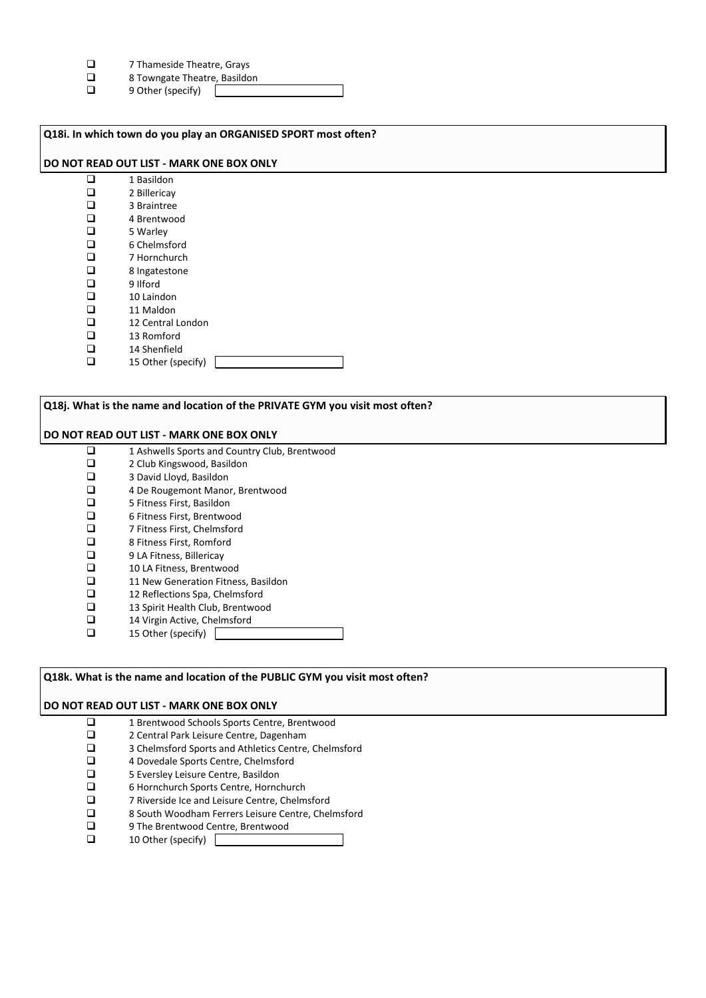- $\square$  7 Thameside Theatre, Grays<br> $\square$  8 Towngate Theatre. Basildo
- $\Box$  8 Towngate Theatre, Basildon<br> $\Box$  9 Other (specify)
- 9 Other (specify)

| Q18i. In which town do you play an ORGANISED SPORT most often? |                    |  |  |  |
|----------------------------------------------------------------|--------------------|--|--|--|
| DO NOT READ OUT LIST - MARK ONE BOX ONLY                       |                    |  |  |  |
| $\Box$                                                         | 1 Basildon         |  |  |  |
| □                                                              | 2 Billericay       |  |  |  |
| $\Box$                                                         | 3 Braintree        |  |  |  |
| $\Box$                                                         | 4 Brentwood        |  |  |  |
| $\Box$                                                         | 5 Warley           |  |  |  |
| $\Box$                                                         | 6 Chelmsford       |  |  |  |
| $\Box$                                                         | 7 Hornchurch       |  |  |  |
| $\Box$                                                         | 8 Ingatestone      |  |  |  |
| $\Box$                                                         | 9 Ilford           |  |  |  |
| $\Box$                                                         | 10 Laindon         |  |  |  |
| □                                                              | 11 Maldon          |  |  |  |
| $\Box$                                                         | 12 Central London  |  |  |  |
| $\Box$                                                         | 13 Romford         |  |  |  |
| □                                                              | 14 Shenfield       |  |  |  |
| $\Box$                                                         | 15 Other (specify) |  |  |  |
|                                                                |                    |  |  |  |

## **Q18j. What is the name and location of the PRIVATE GYM you visit most often?**

#### **DO NOT READ OUT LIST - MARK ONE BOX ONLY**

- $\Box$  1 Ashwells Sports and Country Club, Brentwood  $\Box$  2 Club Kingswood. Basildon  $\Box$  2 Club Kingswood, Basildon<br> $\Box$  3 David Llovd. Basildon  $\Box$  3 David Lloyd, Basildon<br> $\Box$  4 De Rougemont Manor
- $\Box$  4 De Rougemont Manor, Brentwood<br> $\Box$  5 Fitness First. Basildon
- $\Box$  5 Fitness First, Basildon<br> $\Box$  6 Fitness First. Brentwoo
- □ 6 Fitness First, Brentwood<br>□ 7 Fitness First, Chelmsford
- □ 7 Fitness First, Chelmsford<br>□ 8 Fitness First, Romford
- $\Box$  8 Fitness First, Romford<br> $\Box$  9 LA Fitness, Billericay
- $\Box$  9 LA Fitness, Billericay<br> $\Box$  10 LA Fitness, Brentwo
- $\Box$  10 LA Fitness, Brentwood<br> $\Box$  11 New Generation Fitnes
- $\Box$  11 New Generation Fitness, Basildon<br> $\Box$  12 Reflections Spa, Chelmsford
- $\Box$  12 Reflections Spa, Chelmsford<br> $\Box$  13 Spirit Health Club. Brentwoo
- $\Box$  13 Spirit Health Club, Brentwood<br> $\Box$  14 Virgin Active, Chelmsford
- $\Box$  14 Virgin Active, Chelmsford<br> $\Box$  15 Other (specify) 15 Other (specify)
- 

# **Q18k. What is the name and location of the PUBLIC GYM you visit most often?**

- 1 Brentwood Schools Sports Centre, Brentwood<br>2 Central Park Leisure Centre, Dagenham
- $\Box$  2 Central Park Leisure Centre, Dagenham<br>3 Chelmsford Sports and Athletics Centre.
- $\Box$  3 Chelmsford Sports and Athletics Centre, Chelmsford<br> $\Box$  4 Dovedale Sports Centre. Chelmsford
- $\Box$  4 Dovedale Sports Centre, Chelmsford<br> $\Box$  5 Eversley Leisure Centre, Basildon
- $\Box$  5 Eversley Leisure Centre, Basildon<br> $\Box$  6 Hornchurch Sports Centre. Hornc
- □ 6 Hornchurch Sports Centre, Hornchurch<br>□ 7 Riverside Ice and Leisure Centre. Chelm
- □ 7 Riverside Ice and Leisure Centre, Chelmsford<br>□ 8 South Woodham Ferrers Leisure Centre, Chel
- $\Box$  8 South Woodham Ferrers Leisure Centre, Chelmsford<br> $\Box$  9 The Brentwood Centre. Brentwood
- $\Box$  9 The Brentwood Centre, Brentwood
- 10 Other (specify)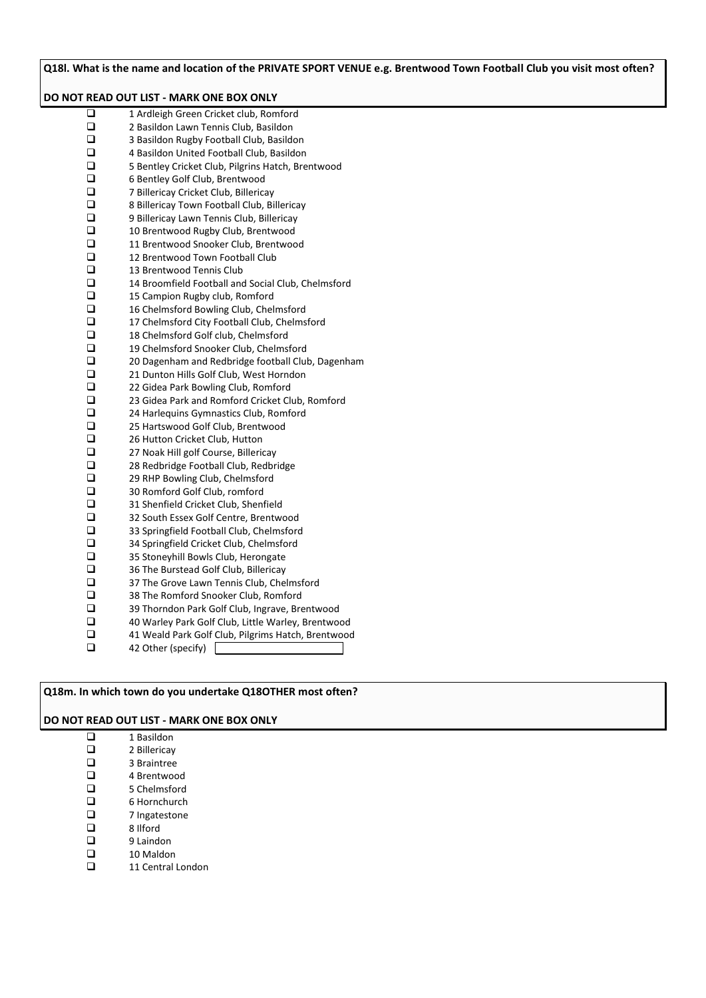**Q18l. What is the name and location of the PRIVATE SPORT VENUE e.g. Brentwood Town Football Club you visit most often? DO NOT READ OUT LIST - MARK ONE BOX ONLY** 1 Ardleigh Green Cricket club, Romford<br>2 Basildon Lawn Tennis Club. Basildon  $\square$  2 Basildon Lawn Tennis Club, Basildon<br> $\square$  3 Basildon Rugby Football Club, Basildon  $\square$  3 Basildon Rugby Football Club, Basildon<br> $\square$  4 Basildon United Football Club. Basildon  $\Box$  4 Basildon United Football Club, Basildon<br> $\Box$  5 Bentlev Cricket Club. Pilgrins Hatch. Bre  $\Box$  5 Bentley Cricket Club, Pilgrins Hatch, Brentwood  $\Box$  6 Bentley Golf Club, Brentwood  $\Box$  6 Bentley Golf Club, Brentwood<br> $\Box$  7 Billericay Cricket Club, Billerica □ 7 Billericay Cricket Club, Billericay<br>□ 8 Billericay Town Football Club, Bi  $\square$  8 Billericay Town Football Club, Billericay<br> $\square$  9 Billericay Lawn Tennis Club, Billericay  $\Box$  9 Billericay Lawn Tennis Club, Billericay<br> $\Box$  10 Brentwood Rugby Club, Brentwood  $\Box$  10 Brentwood Rugby Club, Brentwood  $\Box$  11 Brentwood Snooker Club, Brentwood<br> $\Box$  12 Brentwood Town Football Club  $\Box$  12 Brentwood Town Football Club<br> $\Box$  13 Brentwood Tennis Club  $\Box$  13 Brentwood Tennis Club<br> $\Box$  14 Broomfield Football and  $\Box$  14 Broomfield Football and Social Club, Chelmsford<br> $\Box$  15 Campion Rugby club. Romford  $\Box$  15 Campion Rugby club, Romford<br> $\Box$  16 Chelmsford Bowling Club. Chel 16 Chelmsford Bowling Club, Chelmsford  $\Box$  17 Chelmsford City Football Club, Chelmsford<br> $\Box$  18 Chelmsford Golf club. Chelmsford 18 Chelmsford Golf club, Chelmsford 19 Chelmsford Snooker Club, Chelmsford<br>19 20 Dagenham and Redbridge football Club  $\square$  20 Dagenham and Redbridge football Club, Dagenham<br> $\square$  21 Dunton Hills Golf Club. West Horndon  $\Box$  21 Dunton Hills Golf Club, West Horndon<br> $\Box$  22 Gidea Park Bowling Club. Romford □ 22 Gidea Park Bowling Club, Romford<br>□ 23 Gidea Park and Romford Cricket Cl  $\square$  23 Gidea Park and Romford Cricket Club, Romford<br> $\square$  24 Harlequins Gymnastics Club. Romford  $\square$  24 Harlequins Gymnastics Club, Romford<br> $\square$  25 Hartswood Golf Club, Brentwood  $\Box$  25 Hartswood Golf Club, Brentwood<br> $\Box$  26 Hutton Cricket Club, Hutton  $\Box$  26 Hutton Cricket Club, Hutton<br> $\Box$  27 Noak Hill golf Course, Billeric □ 27 Noak Hill golf Course, Billericay<br>□ 28 Redbridge Football Club, Redbr □ 28 Redbridge Football Club, Redbridge<br>□ 29 RHP Bowling Club, Chelmsford □ 29 RHP Bowling Club, Chelmsford<br>□ 30 Romford Golf Club, romford **a** 30 Romford Golf Club, romford<br> **a** 31 Shenfield Cricket Club, Shenfield 31 Shenfield Cricket Club, Shenfield<br>
32 South Essex Golf Centre, Brentwo 32 South Essex Golf Centre, Brentwood<br>
33 Springfield Football Club. Chelmsford  $\square$  33 Springfield Football Club, Chelmsford<br> $\square$  34 Springfield Cricket Club. Chelmsford  $\Box$  34 Springfield Cricket Club, Chelmsford<br> $\Box$  35 Stonevhill Bowls Club. Herongate  $\square$  35 Stoneyhill Bowls Club, Herongate<br> $\square$  36 The Burstead Golf Club. Billericav  $\Box$  36 The Burstead Golf Club, Billericay<br> $\Box$  37 The Grove Lawn Tennis Club. Che  $\Box$  37 The Grove Lawn Tennis Club, Chelmsford<br> $\Box$  38 The Romford Snooker Club, Romford  $\Box$  38 The Romford Snooker Club, Romford<br> $\Box$  39 Thorndon Park Golf Club, Ingrave, Bre 39 Thorndon Park Golf Club, Ingrave, Brentwood 40 Warley Park Golf Club, Little Warley, Brentwood □ 41 Weald Park Golf Club, Pilgrims Hatch, Brentwood  $\Box$  42 Other (specify)

# **Q18m. In which town do you undertake Q18OTHER most often?**

- $\Box$  1 Basildon<br> $\Box$  2 Billericav  $\Box$  2 Billericay<br> $\Box$  3 Braintree  $\Box$  3 Braintree<br> $\Box$  4 Brentwoo  $\Box$  4 Brentwood
- $\Box$  5 Chelmsford<br> $\Box$  6 Hornchurch
- 6 Hornchurch
- □ 7 Ingatestone
- $\Box$  8 Ilford<br>9 Lainde
- $\Box$ 9 Laindon<br>  $\Box$ 9 Laindon
- $\Box$  10 Maldon
- 11 Central London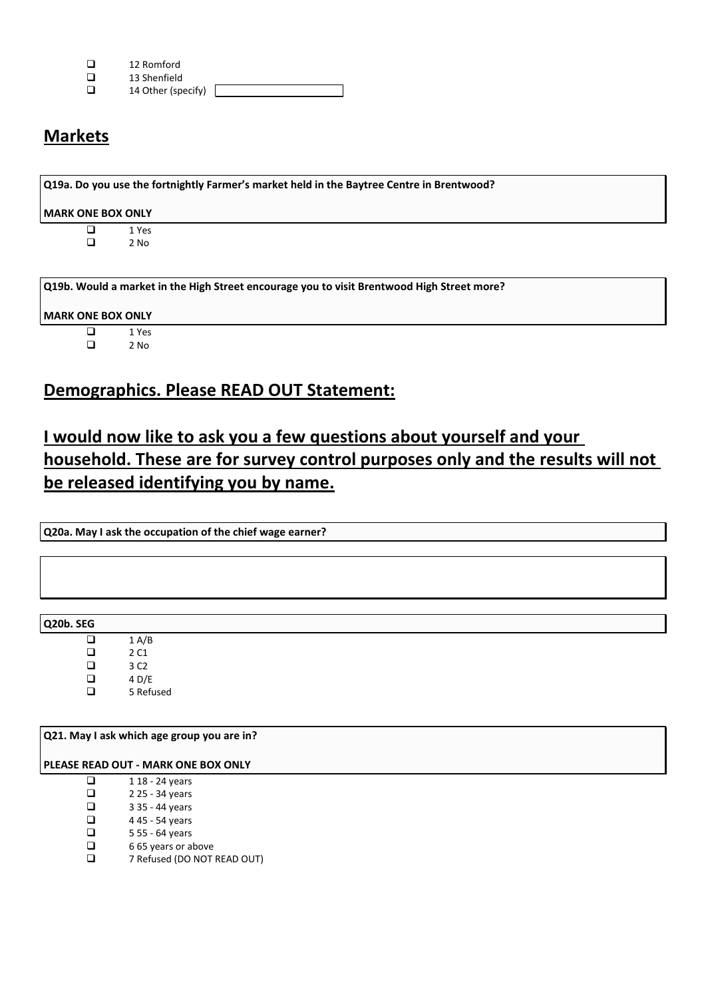| ◻ | 12 Romford |
|---|------------|
|   |            |

- $\Box$  13 Shenfield<br> $\Box$  14 Other (sp)
- 14 Other (specify) [

# **Markets**

| <b>MARK ONE BOX ONLY</b> |        |  |  |  |  |
|--------------------------|--------|--|--|--|--|
|                          |        |  |  |  |  |
| ப                        | 1 Yes  |  |  |  |  |
| ◻                        | $2$ No |  |  |  |  |
|                          |        |  |  |  |  |

# **MARK ONE BOX ONLY**

 $\begin{array}{ccc}\n\Box & & 1 \text{ Yes} \\
\Box & & 2 \text{ No}\n\end{array}$ 2 No

# **Demographics. Please READ OUT Statement:**

# **I would now like to ask you a few questions about yourself and your household. These are for survey control purposes only and the results will not be released identifying you by name.**

**Q20a. May I ask the occupation of the chief wage earner?**

**Q20b. SEG**

| ப | 1 A/B     |
|---|-----------|
| ◻ | 2 C1      |
| ◻ | 3 C2      |
| ◻ | 4 D/E     |
| ப | 5 Refused |

**Q21. May I ask which age group you are in?**

**PLEASE READ OUT - MARK ONE BOX ONLY**

- $\Box$  118 24 years
- $\Box$  2 25 34 years<br> $\Box$  3 35 44 years
- $\Box$  3 35 44 years<br> $\Box$  4 45 54 years
- $\Box$  445 54 years<br> $\Box$  555 64 years
- $\Box$  5 55 64 years<br> $\Box$  6 65 years or a
- $\Box$  665 years or above<br> $\Box$  7 Refused (DO NOT
- 7 Refused (DO NOT READ OUT)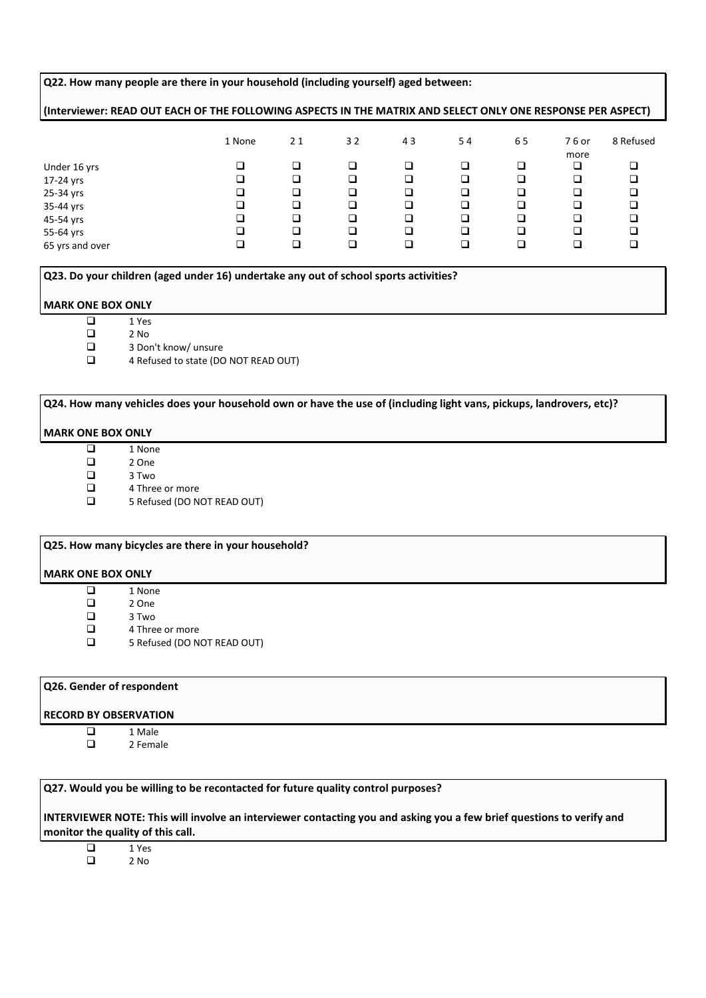#### **Q22. How many people are there in your household (including yourself) aged between:**

# **(Interviewer: READ OUT EACH OF THE FOLLOWING ASPECTS IN THE MATRIX AND SELECT ONLY ONE RESPONSE PER ASPECT)**

|                 | 1 None | 21 | 32 | 43 | 54 | 65 | 76 or<br>more | 8 Refused |
|-----------------|--------|----|----|----|----|----|---------------|-----------|
| Under 16 yrs    | ⊐      |    | □  | □  |    | Q  | □             | ◻         |
| 17-24 yrs       | ❏      |    | □  | □  | ❏  | ❏  |               | Q         |
| 25-34 yrs       | ❏      | ◻  | □  | □  | ❏  | ❏  |               | ⊒         |
| 35-44 yrs       | ב      | ◻  | □  | □  | □  | ❏  |               | ⊒         |
| 45-54 yrs       | ב      | ◻  | □  | □  | □  | □  |               | ⊒         |
| 55-64 yrs       | ⊐      | ◻  | □  | □  | ❏  | ❏  |               | a         |
| 65 yrs and over | ⊐      |    | □  | ❏  |    | ❏  |               |           |

**Q23. Do your children (aged under 16) undertake any out of school sports activities?**

#### **MARK ONE BOX ONLY**

 $\begin{array}{ccc}\n\Box & & 1 \text{ Yes} \\
\Box & & 2 \text{ No}\n\end{array}$ 

 $\begin{array}{ccc}\n\Box & & 2 \text{ No} \\
\Box & & 3 \text{ Do}\n\end{array}$  $\Box$  3 Don't know/ unsure<br> $\Box$  4 Refused to state (DC

4 Refused to state (DO NOT READ OUT)

# **Q24. How many vehicles does your household own or have the use of (including light vans, pickups, landrovers, etc)?**

#### **MARK ONE BOX ONLY**

- $\begin{array}{ccc} \square & & 1 \text{ None} \\ \square & & 2 \text{ One} \end{array}$
- $\begin{array}{ccc} \square & & 2 \text{ One} \\ \square & & 3 \text{ Two} \end{array}$ 
	- 3 Two
- □ 4 Three or more
- 5 Refused (DO NOT READ OUT)

#### **Q25. How many bicycles are there in your household?**

#### **MARK ONE BOX ONLY**

- $\begin{array}{ccc}\n\Box & & 1 \text{ None} \\
\Box & & 2 \text{ One}\n\end{array}$
- $\begin{array}{ccc} \square & & 2 \text{ One} \\ \square & & 3 \text{ Two} \end{array}$
- $\begin{array}{ccc}\n\Box & & 3 \text{ Two} \\
\Box & & 4 \text{ Three}\n\end{array}$ 
	-
- $\Box$  4 Three or more<br> $\Box$  5 Refused (DO N 5 Refused (DO NOT READ OUT)

# **Q26. Gender of respondent**

#### **RECORD BY OBSERVATION**

- $\Box$  1 Male
	- 2 Female

**Q27. Would you be willing to be recontacted for future quality control purposes?**

**INTERVIEWER NOTE: This will involve an interviewer contacting you and asking you a few brief questions to verify and monitor the quality of this call.**

 $\begin{array}{ccc}\n\Box & & 1 \text{Yes} \\
\Box & & 2 \text{No}\n\end{array}$ 2 No